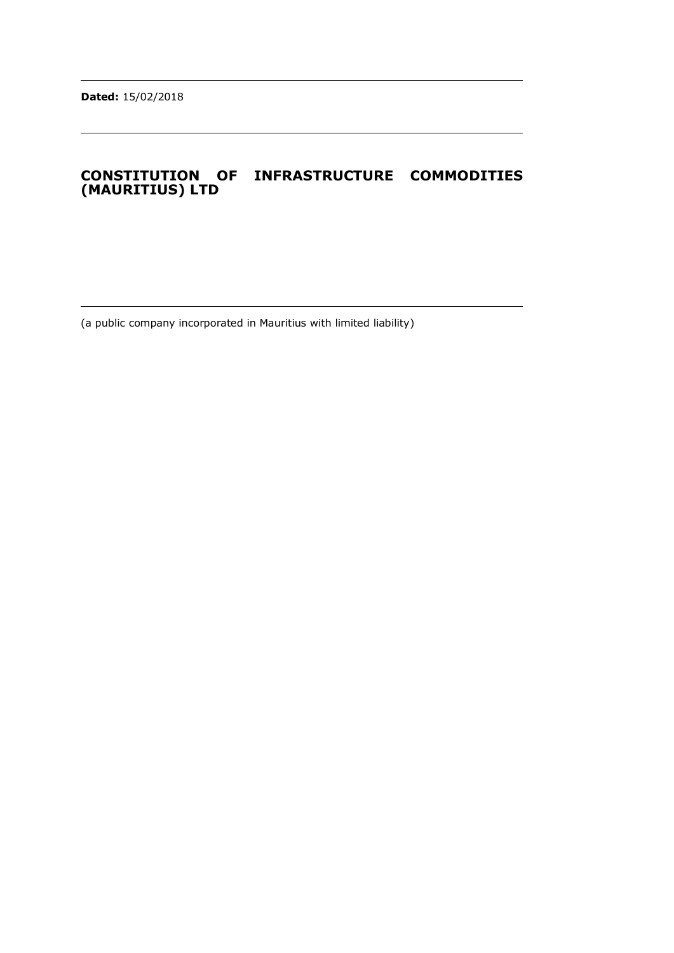# **CONSTITUTION OF INFRASTRUCTURE COMMODITIES (MAURITIUS) LTD**

(a public company incorporated in Mauritius with limited liability)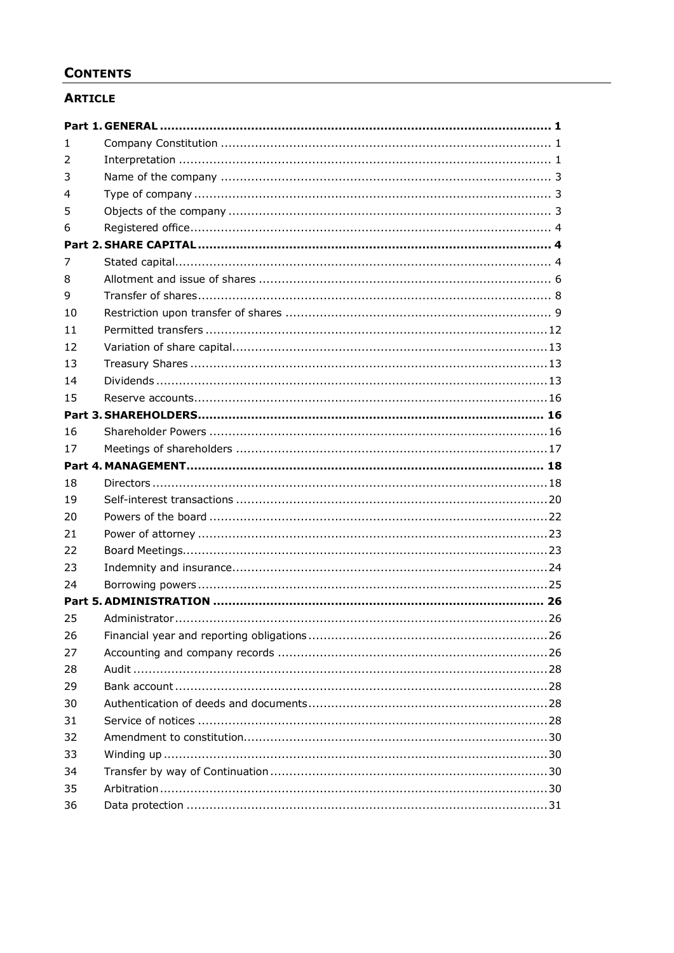# **CONTENTS**

# **ARTICLE**

| 1.              |  |
|-----------------|--|
| 2               |  |
| 3               |  |
| 4               |  |
| 5               |  |
| 6               |  |
|                 |  |
| 7               |  |
| 8               |  |
| 9               |  |
| 10              |  |
| 11              |  |
| $12 \ \mathrm{$ |  |
| 13              |  |
| 14              |  |
| 15              |  |
|                 |  |
| 16              |  |
| 17              |  |
|                 |  |
| 18              |  |
| 19              |  |
| 20              |  |
| 21              |  |
| 22              |  |
| 23              |  |
| 24              |  |
|                 |  |
| 25              |  |
| 26              |  |
| 27              |  |
| 28              |  |
| 29              |  |
| 30              |  |
| 31              |  |
| 32              |  |
| 33              |  |
| 34              |  |
| 35              |  |
| 36              |  |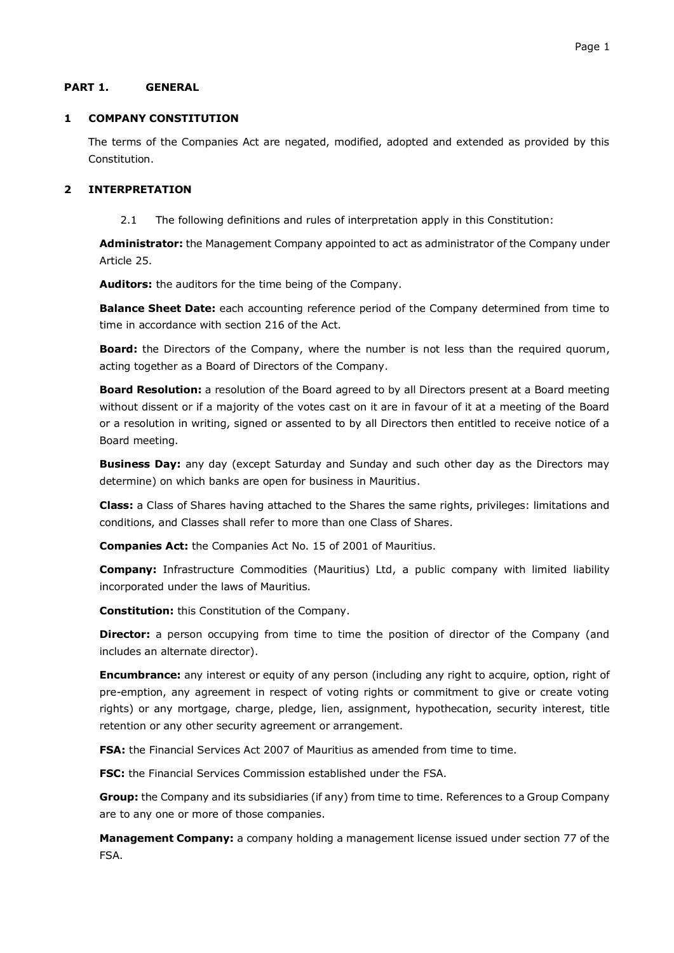### <span id="page-2-0"></span>**PART 1. GENERAL**

### <span id="page-2-1"></span>**1 COMPANY CONSTITUTION**

The terms of the Companies Act are negated, modified, adopted and extended as provided by this Constitution.

#### <span id="page-2-2"></span>**2 INTERPRETATION**

2.1 The following definitions and rules of interpretation apply in this Constitution:

**Administrator:** the Management Company appointed to act as administrator of the Company under Article 25.

**Auditors:** the auditors for the time being of the Company.

**Balance Sheet Date:** each accounting reference period of the Company determined from time to time in accordance with section 216 of the Act.

**Board:** the Directors of the Company, where the number is not less than the required quorum, acting together as a Board of Directors of the Company.

**Board Resolution:** a resolution of the Board agreed to by all Directors present at a Board meeting without dissent or if a majority of the votes cast on it are in favour of it at a meeting of the Board or a resolution in writing, signed or assented to by all Directors then entitled to receive notice of a Board meeting.

**Business Day:** any day (except Saturday and Sunday and such other day as the Directors may determine) on which banks are open for business in Mauritius.

**Class:** a Class of Shares having attached to the Shares the same rights, privileges: limitations and conditions, and Classes shall refer to more than one Class of Shares.

**Companies Act:** the Companies Act No. 15 of 2001 of Mauritius.

**Company:** Infrastructure Commodities (Mauritius) Ltd, a public company with limited liability incorporated under the laws of Mauritius.

**Constitution:** this Constitution of the Company.

**Director:** a person occupying from time to time the position of director of the Company (and includes an alternate director).

**Encumbrance:** any interest or equity of any person (including any right to acquire, option, right of pre-emption, any agreement in respect of voting rights or commitment to give or create voting rights) or any mortgage, charge, pledge, lien, assignment, hypothecation, security interest, title retention or any other security agreement or arrangement.

**FSA:** the Financial Services Act 2007 of Mauritius as amended from time to time.

**FSC:** the Financial Services Commission established under the FSA.

**Group:** the Company and its subsidiaries (if any) from time to time. References to a Group Company are to any one or more of those companies.

**Management Company:** a company holding a management license issued under section 77 of the FSA.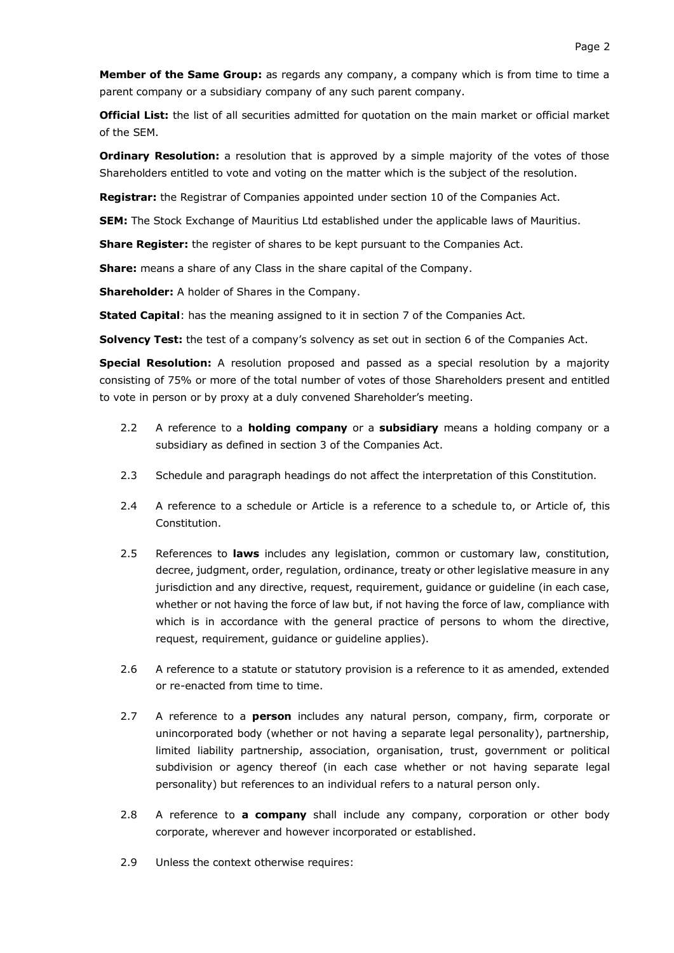**Member of the Same Group:** as regards any company, a company which is from time to time a parent company or a subsidiary company of any such parent company.

**Official List:** the list of all securities admitted for quotation on the main market or official market of the SEM.

**Ordinary Resolution:** a resolution that is approved by a simple majority of the votes of those Shareholders entitled to vote and voting on the matter which is the subject of the resolution.

**Registrar:** the Registrar of Companies appointed under section 10 of the Companies Act.

**SEM:** The Stock Exchange of Mauritius Ltd established under the applicable laws of Mauritius.

**Share Register:** the register of shares to be kept pursuant to the Companies Act.

**Share:** means a share of any Class in the share capital of the Company.

**Shareholder:** A holder of Shares in the Company.

**Stated Capital**: has the meaning assigned to it in section 7 of the Companies Act.

**Solvency Test:** the test of a company's solvency as set out in section 6 of the Companies Act.

**Special Resolution:** A resolution proposed and passed as a special resolution by a majority consisting of 75% or more of the total number of votes of those Shareholders present and entitled to vote in person or by proxy at a duly convened Shareholder's meeting.

- 2.2 A reference to a **holding company** or a **subsidiary** means a holding company or a subsidiary as defined in section 3 of the Companies Act.
- 2.3 Schedule and paragraph headings do not affect the interpretation of this Constitution.
- 2.4 A reference to a schedule or Article is a reference to a schedule to, or Article of, this Constitution.
- 2.5 References to **laws** includes any legislation, common or customary law, constitution, decree, judgment, order, regulation, ordinance, treaty or other legislative measure in any jurisdiction and any directive, request, requirement, guidance or guideline (in each case, whether or not having the force of law but, if not having the force of law, compliance with which is in accordance with the general practice of persons to whom the directive, request, requirement, guidance or guideline applies).
- 2.6 A reference to a statute or statutory provision is a reference to it as amended, extended or re-enacted from time to time.
- 2.7 A reference to a **person** includes any natural person, company, firm, corporate or unincorporated body (whether or not having a separate legal personality), partnership, limited liability partnership, association, organisation, trust, government or political subdivision or agency thereof (in each case whether or not having separate legal personality) but references to an individual refers to a natural person only.
- 2.8 A reference to **a company** shall include any company, corporation or other body corporate, wherever and however incorporated or established.
- 2.9 Unless the context otherwise requires: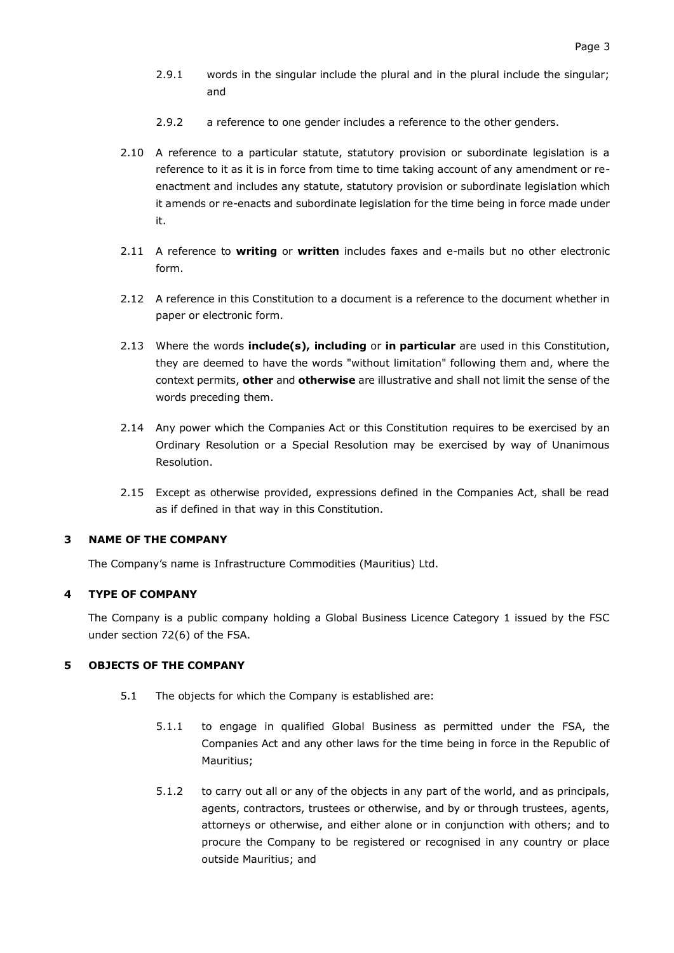- 2.9.1 words in the singular include the plural and in the plural include the singular; and
- 2.9.2 a reference to one gender includes a reference to the other genders.
- 2.10 A reference to a particular statute, statutory provision or subordinate legislation is a reference to it as it is in force from time to time taking account of any amendment or reenactment and includes any statute, statutory provision or subordinate legislation which it amends or re-enacts and subordinate legislation for the time being in force made under it.
- 2.11 A reference to **writing** or **written** includes faxes and e-mails but no other electronic form.
- 2.12 A reference in this Constitution to a document is a reference to the document whether in paper or electronic form.
- 2.13 Where the words **include(s), including** or **in particular** are used in this Constitution, they are deemed to have the words "without limitation" following them and, where the context permits, **other** and **otherwise** are illustrative and shall not limit the sense of the words preceding them.
- 2.14 Any power which the Companies Act or this Constitution requires to be exercised by an Ordinary Resolution or a Special Resolution may be exercised by way of Unanimous Resolution.
- 2.15 Except as otherwise provided, expressions defined in the Companies Act, shall be read as if defined in that way in this Constitution.

#### <span id="page-4-0"></span>**3 NAME OF THE COMPANY**

The Company's name is Infrastructure Commodities (Mauritius) Ltd.

#### <span id="page-4-1"></span>**4 TYPE OF COMPANY**

The Company is a public company holding a Global Business Licence Category 1 issued by the FSC under section 72(6) of the FSA.

### <span id="page-4-2"></span>**5 OBJECTS OF THE COMPANY**

- 5.1 The objects for which the Company is established are:
	- 5.1.1 to engage in qualified Global Business as permitted under the FSA, the Companies Act and any other laws for the time being in force in the Republic of Mauritius;
	- 5.1.2 to carry out all or any of the objects in any part of the world, and as principals, agents, contractors, trustees or otherwise, and by or through trustees, agents, attorneys or otherwise, and either alone or in conjunction with others; and to procure the Company to be registered or recognised in any country or place outside Mauritius; and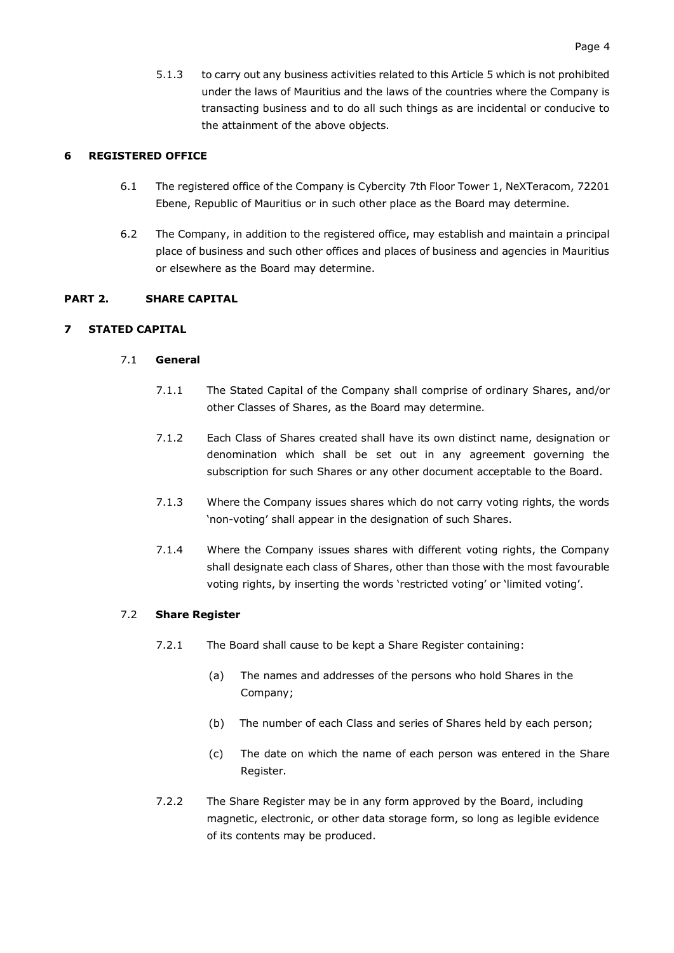5.1.3 to carry out any business activities related to this Article [5](#page-4-2) which is not prohibited under the laws of Mauritius and the laws of the countries where the Company is transacting business and to do all such things as are incidental or conducive to the attainment of the above objects.

# <span id="page-5-0"></span>**6 REGISTERED OFFICE**

- 6.1 The registered office of the Company is Cybercity 7th Floor Tower 1, NeXTeracom, 72201 Ebene, Republic of Mauritius or in such other place as the Board may determine.
- 6.2 The Company, in addition to the registered office, may establish and maintain a principal place of business and such other offices and places of business and agencies in Mauritius or elsewhere as the Board may determine.

### <span id="page-5-1"></span>**PART 2. SHARE CAPITAL**

# <span id="page-5-2"></span>**7 STATED CAPITAL**

# 7.1 **General**

- 7.1.1 The Stated Capital of the Company shall comprise of ordinary Shares, and/or other Classes of Shares, as the Board may determine.
- 7.1.2 Each Class of Shares created shall have its own distinct name, designation or denomination which shall be set out in any agreement governing the subscription for such Shares or any other document acceptable to the Board.
- 7.1.3 Where the Company issues shares which do not carry voting rights, the words 'non-voting' shall appear in the designation of such Shares.
- 7.1.4 Where the Company issues shares with different voting rights, the Company shall designate each class of Shares, other than those with the most favourable voting rights, by inserting the words 'restricted voting' or 'limited voting'.

### 7.2 **Share Register**

- 7.2.1 The Board shall cause to be kept a Share Register containing:
	- (a) The names and addresses of the persons who hold Shares in the Company;
	- (b) The number of each Class and series of Shares held by each person;
	- (c) The date on which the name of each person was entered in the Share Register.
- 7.2.2 The Share Register may be in any form approved by the Board, including magnetic, electronic, or other data storage form, so long as legible evidence of its contents may be produced.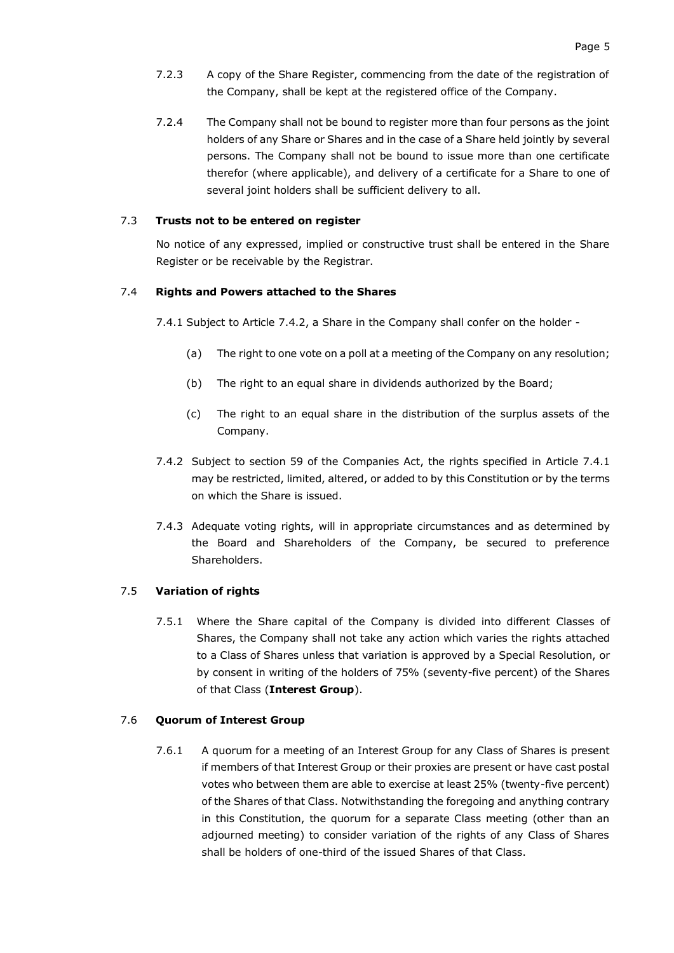- 7.2.3 A copy of the Share Register, commencing from the date of the registration of the Company, shall be kept at the registered office of the Company.
- 7.2.4 The Company shall not be bound to register more than four persons as the joint holders of any Share or Shares and in the case of a Share held jointly by several persons. The Company shall not be bound to issue more than one certificate therefor (where applicable), and delivery of a certificate for a Share to one of several joint holders shall be sufficient delivery to all.

### 7.3 **Trusts not to be entered on register**

No notice of any expressed, implied or constructive trust shall be entered in the Share Register or be receivable by the Registrar.

### <span id="page-6-1"></span>7.4 **Rights and Powers attached to the Shares**

7.4.1 Subject to Article [7.4.2,](#page-6-0) a Share in the Company shall confer on the holder -

- (a) The right to one vote on a poll at a meeting of the Company on any resolution;
- (b) The right to an equal share in dividends authorized by the Board;
- (c) The right to an equal share in the distribution of the surplus assets of the Company.
- <span id="page-6-0"></span>7.4.2 Subject to section 59 of the Companies Act, the rights specified in Article [7.4.1](#page-6-1) may be restricted, limited, altered, or added to by this Constitution or by the terms on which the Share is issued.
- 7.4.3 Adequate voting rights, will in appropriate circumstances and as determined by the Board and Shareholders of the Company, be secured to preference Shareholders.

#### 7.5 **Variation of rights**

7.5.1 Where the Share capital of the Company is divided into different Classes of Shares, the Company shall not take any action which varies the rights attached to a Class of Shares unless that variation is approved by a Special Resolution, or by consent in writing of the holders of 75% (seventy-five percent) of the Shares of that Class (**Interest Group**).

#### 7.6 **Quorum of Interest Group**

7.6.1 A quorum for a meeting of an Interest Group for any Class of Shares is present if members of that Interest Group or their proxies are present or have cast postal votes who between them are able to exercise at least 25% (twenty-five percent) of the Shares of that Class. Notwithstanding the foregoing and anything contrary in this Constitution, the quorum for a separate Class meeting (other than an adjourned meeting) to consider variation of the rights of any Class of Shares shall be holders of one-third of the issued Shares of that Class.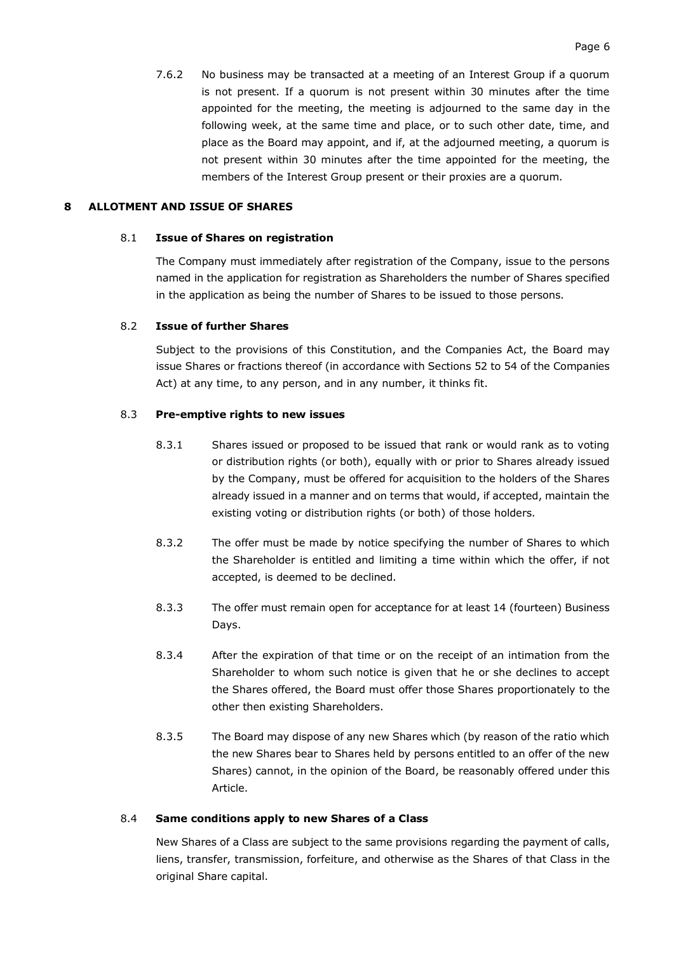7.6.2 No business may be transacted at a meeting of an Interest Group if a quorum is not present. If a quorum is not present within 30 minutes after the time appointed for the meeting, the meeting is adjourned to the same day in the following week, at the same time and place, or to such other date, time, and place as the Board may appoint, and if, at the adjourned meeting, a quorum is not present within 30 minutes after the time appointed for the meeting, the members of the Interest Group present or their proxies are a quorum.

### <span id="page-7-0"></span>**8 ALLOTMENT AND ISSUE OF SHARES**

#### 8.1 **Issue of Shares on registration**

The Company must immediately after registration of the Company, issue to the persons named in the application for registration as Shareholders the number of Shares specified in the application as being the number of Shares to be issued to those persons.

### 8.2 **Issue of further Shares**

Subject to the provisions of this Constitution, and the Companies Act, the Board may issue Shares or fractions thereof (in accordance with Sections 52 to 54 of the Companies Act) at any time, to any person, and in any number, it thinks fit.

### 8.3 **Pre-emptive rights to new issues**

- 8.3.1 Shares issued or proposed to be issued that rank or would rank as to voting or distribution rights (or both), equally with or prior to Shares already issued by the Company, must be offered for acquisition to the holders of the Shares already issued in a manner and on terms that would, if accepted, maintain the existing voting or distribution rights (or both) of those holders.
- 8.3.2 The offer must be made by notice specifying the number of Shares to which the Shareholder is entitled and limiting a time within which the offer, if not accepted, is deemed to be declined.
- 8.3.3 The offer must remain open for acceptance for at least 14 (fourteen) Business Days.
- 8.3.4 After the expiration of that time or on the receipt of an intimation from the Shareholder to whom such notice is given that he or she declines to accept the Shares offered, the Board must offer those Shares proportionately to the other then existing Shareholders.
- 8.3.5 The Board may dispose of any new Shares which (by reason of the ratio which the new Shares bear to Shares held by persons entitled to an offer of the new Shares) cannot, in the opinion of the Board, be reasonably offered under this Article.

### 8.4 **Same conditions apply to new Shares of a Class**

New Shares of a Class are subject to the same provisions regarding the payment of calls, liens, transfer, transmission, forfeiture, and otherwise as the Shares of that Class in the original Share capital.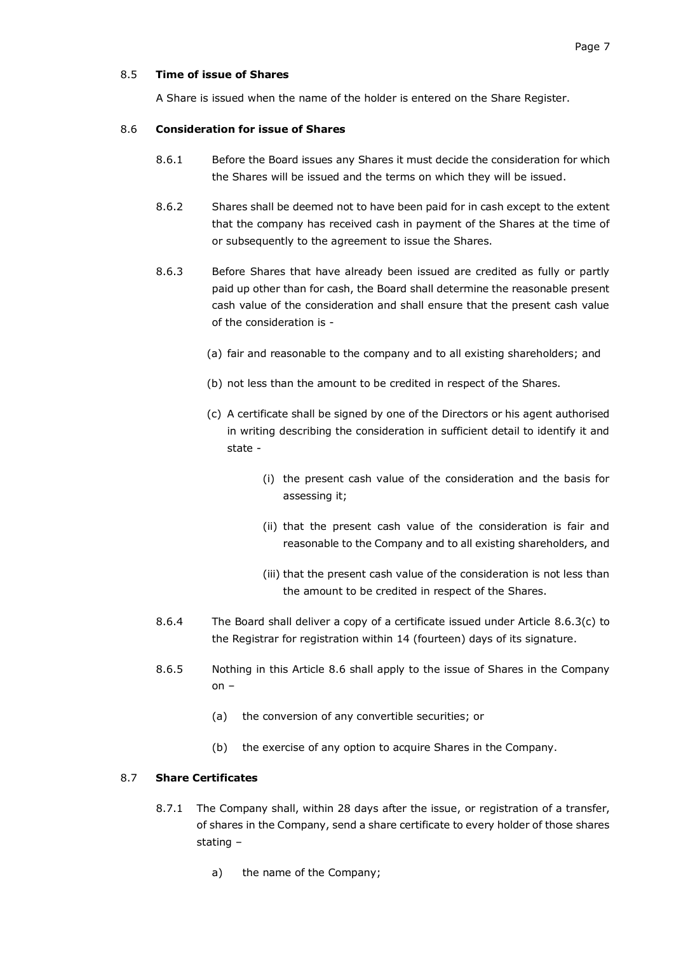# 8.5 **Time of issue of Shares**

A Share is issued when the name of the holder is entered on the Share Register.

### <span id="page-8-1"></span>8.6 **Consideration for issue of Shares**

- 8.6.1 Before the Board issues any Shares it must decide the consideration for which the Shares will be issued and the terms on which they will be issued.
- 8.6.2 Shares shall be deemed not to have been paid for in cash except to the extent that the company has received cash in payment of the Shares at the time of or subsequently to the agreement to issue the Shares.
- <span id="page-8-0"></span>8.6.3 Before Shares that have already been issued are credited as fully or partly paid up other than for cash, the Board shall determine the reasonable present cash value of the consideration and shall ensure that the present cash value of the consideration is -
	- (a) fair and reasonable to the company and to all existing shareholders; and
	- (b) not less than the amount to be credited in respect of the Shares.
	- (c) A certificate shall be signed by one of the Directors or his agent authorised in writing describing the consideration in sufficient detail to identify it and state -
		- (i) the present cash value of the consideration and the basis for assessing it;
		- (ii) that the present cash value of the consideration is fair and reasonable to the Company and to all existing shareholders, and
		- (iii) that the present cash value of the consideration is not less than the amount to be credited in respect of the Shares.
- 8.6.4 The Board shall deliver a copy of a certificate issued under Article [8.6.3\(c\)](#page-8-0) to the Registrar for registration within 14 (fourteen) days of its signature.
- 8.6.5 Nothing in this Article [8.6](#page-8-1) shall apply to the issue of Shares in the Company on –
	- (a) the conversion of any convertible securities; or
	- (b) the exercise of any option to acquire Shares in the Company.

#### 8.7 **Share Certificates**

- 8.7.1 The Company shall, within 28 days after the issue, or registration of a transfer, of shares in the Company, send a share certificate to every holder of those shares stating –
	- a) the name of the Company;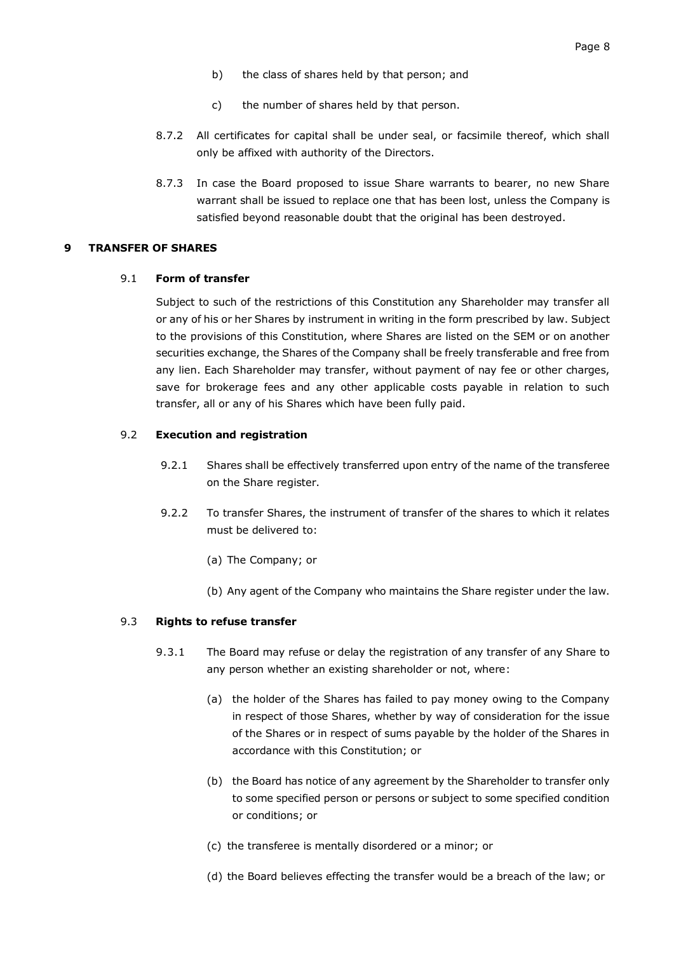- b) the class of shares held by that person; and
- c) the number of shares held by that person.
- 8.7.2 All certificates for capital shall be under seal, or facsimile thereof, which shall only be affixed with authority of the Directors.
- 8.7.3 In case the Board proposed to issue Share warrants to bearer, no new Share warrant shall be issued to replace one that has been lost, unless the Company is satisfied beyond reasonable doubt that the original has been destroyed.

#### <span id="page-9-1"></span><span id="page-9-0"></span>**9 TRANSFER OF SHARES**

#### 9.1 **Form of transfer**

Subject to such of the restrictions of this Constitution any Shareholder may transfer all or any of his or her Shares by instrument in writing in the form prescribed by law. Subject to the provisions of this Constitution, where Shares are listed on the SEM or on another securities exchange, the Shares of the Company shall be freely transferable and free from any lien. Each Shareholder may transfer, without payment of nay fee or other charges, save for brokerage fees and any other applicable costs payable in relation to such transfer, all or any of his Shares which have been fully paid.

#### 9.2 **Execution and registration**

- 9.2.1 Shares shall be effectively transferred upon entry of the name of the transferee on the Share register.
- 9.2.2 To transfer Shares, the instrument of transfer of the shares to which it relates must be delivered to:
	- (a) The Company; or
	- (b) Any agent of the Company who maintains the Share register under the law.

#### 9.3 **Rights to refuse transfer**

- 9.3.1 The Board may refuse or delay the registration of any transfer of any Share to any person whether an existing shareholder or not, where:
	- (a) the holder of the Shares has failed to pay money owing to the Company in respect of those Shares, whether by way of consideration for the issue of the Shares or in respect of sums payable by the holder of the Shares in accordance with this Constitution; or
	- (b) the Board has notice of any agreement by the Shareholder to transfer only to some specified person or persons or subject to some specified condition or conditions; or
	- (c) the transferee is mentally disordered or a minor; or
	- (d) the Board believes effecting the transfer would be a breach of the law; or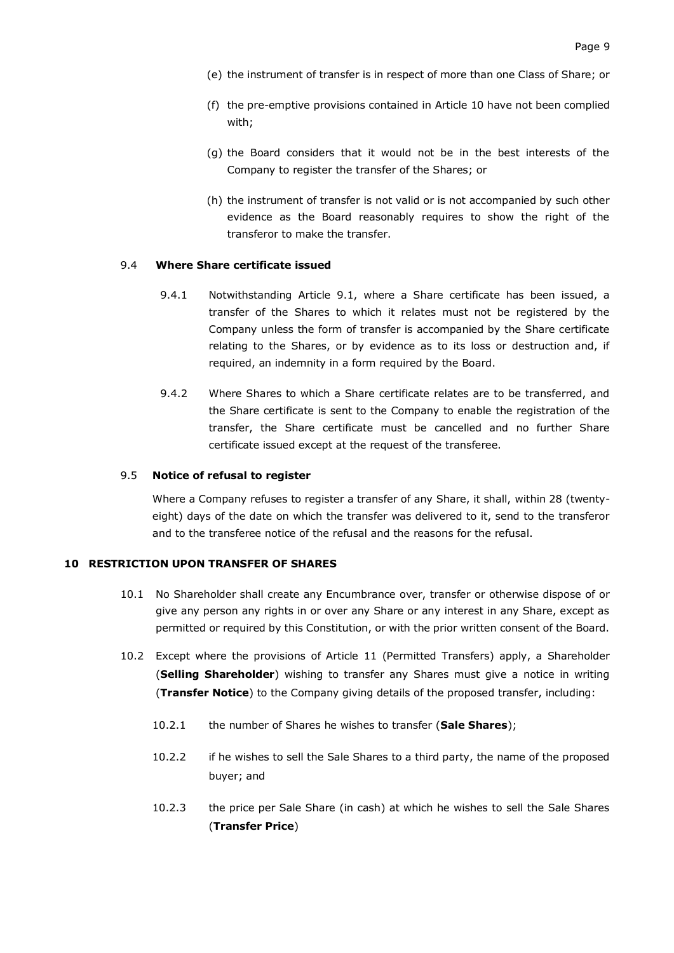- (e) the instrument of transfer is in respect of more than one Class of Share; or
- (f) the pre-emptive provisions contained in Article [10](#page-10-0) have not been complied with;
- (g) the Board considers that it would not be in the best interests of the Company to register the transfer of the Shares; or
- (h) the instrument of transfer is not valid or is not accompanied by such other evidence as the Board reasonably requires to show the right of the transferor to make the transfer.

### 9.4 **Where Share certificate issued**

- 9.4.1 Notwithstanding Article [9.1,](#page-9-1) where a Share certificate has been issued, a transfer of the Shares to which it relates must not be registered by the Company unless the form of transfer is accompanied by the Share certificate relating to the Shares, or by evidence as to its loss or destruction and, if required, an indemnity in a form required by the Board.
- 9.4.2 Where Shares to which a Share certificate relates are to be transferred, and the Share certificate is sent to the Company to enable the registration of the transfer, the Share certificate must be cancelled and no further Share certificate issued except at the request of the transferee.

### 9.5 **Notice of refusal to register**

Where a Company refuses to register a transfer of any Share, it shall, within 28 (twentyeight) days of the date on which the transfer was delivered to it, send to the transferor and to the transferee notice of the refusal and the reasons for the refusal.

### <span id="page-10-0"></span>**10 RESTRICTION UPON TRANSFER OF SHARES**

- 10.1 No Shareholder shall create any Encumbrance over, transfer or otherwise dispose of or give any person any rights in or over any Share or any interest in any Share, except as permitted or required by this Constitution, or with the prior written consent of the Board.
- 10.2 Except where the provisions of Article [11](#page-13-0) (Permitted Transfers) apply, a Shareholder (**Selling Shareholder**) wishing to transfer any Shares must give a notice in writing (**Transfer Notice**) to the Company giving details of the proposed transfer, including:
	- 10.2.1 the number of Shares he wishes to transfer (**Sale Shares**);
	- 10.2.2 if he wishes to sell the Sale Shares to a third party, the name of the proposed buyer; and
	- 10.2.3 the price per Sale Share (in cash) at which he wishes to sell the Sale Shares (**Transfer Price**)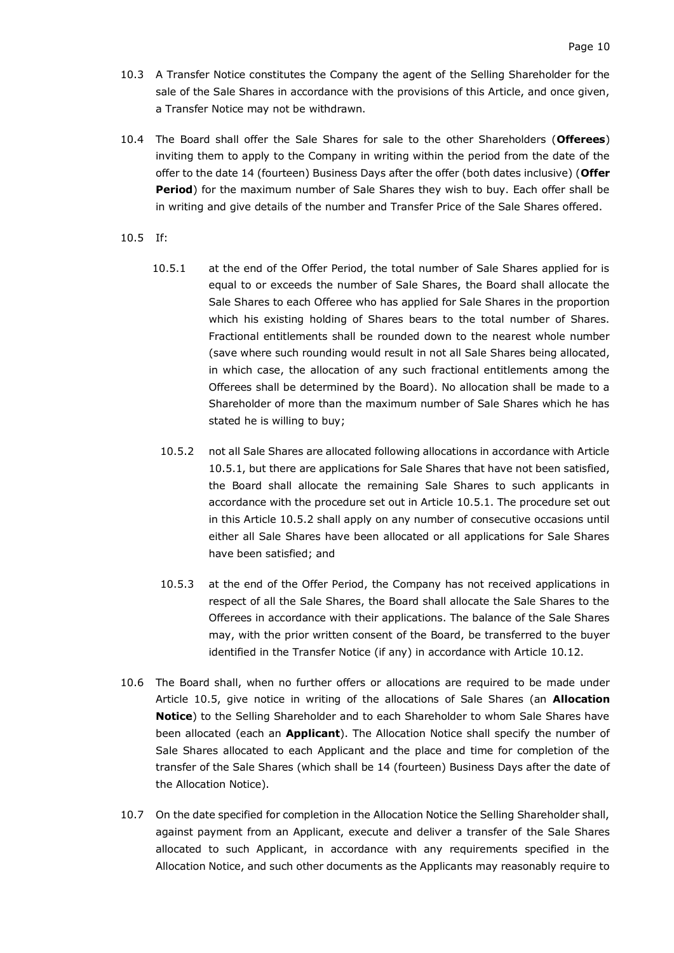- 10.3 A Transfer Notice constitutes the Company the agent of the Selling Shareholder for the sale of the Sale Shares in accordance with the provisions of this Article, and once given, a Transfer Notice may not be withdrawn.
- 10.4 The Board shall offer the Sale Shares for sale to the other Shareholders (**Offerees**) inviting them to apply to the Company in writing within the period from the date of the offer to the date 14 (fourteen) Business Days after the offer (both dates inclusive) (**Offer Period**) for the maximum number of Sale Shares they wish to buy. Each offer shall be in writing and give details of the number and Transfer Price of the Sale Shares offered.
- <span id="page-11-2"></span><span id="page-11-1"></span><span id="page-11-0"></span>10.5 If:
	- 10.5.1 at the end of the Offer Period, the total number of Sale Shares applied for is equal to or exceeds the number of Sale Shares, the Board shall allocate the Sale Shares to each Offeree who has applied for Sale Shares in the proportion which his existing holding of Shares bears to the total number of Shares. Fractional entitlements shall be rounded down to the nearest whole number (save where such rounding would result in not all Sale Shares being allocated, in which case, the allocation of any such fractional entitlements among the Offerees shall be determined by the Board). No allocation shall be made to a Shareholder of more than the maximum number of Sale Shares which he has stated he is willing to buy;
	- 10.5.2 not all Sale Shares are allocated following allocations in accordance with Article [10.5.1,](#page-11-0) but there are applications for Sale Shares that have not been satisfied, the Board shall allocate the remaining Sale Shares to such applicants in accordance with the procedure set out in Article [10.5.1.](#page-11-0) The procedure set out in this Article [10.5.2](#page-11-1) shall apply on any number of consecutive occasions until either all Sale Shares have been allocated or all applications for Sale Shares have been satisfied; and
	- 10.5.3 at the end of the Offer Period, the Company has not received applications in respect of all the Sale Shares, the Board shall allocate the Sale Shares to the Offerees in accordance with their applications. The balance of the Sale Shares may, with the prior written consent of the Board, be transferred to the buyer identified in the Transfer Notice (if any) in accordance with Article [10.12.](#page-12-0)
- 10.6 The Board shall, when no further offers or allocations are required to be made under Article [10.5,](#page-11-2) give notice in writing of the allocations of Sale Shares (an **Allocation Notice**) to the Selling Shareholder and to each Shareholder to whom Sale Shares have been allocated (each an **Applicant**). The Allocation Notice shall specify the number of Sale Shares allocated to each Applicant and the place and time for completion of the transfer of the Sale Shares (which shall be 14 (fourteen) Business Days after the date of the Allocation Notice).
- <span id="page-11-3"></span>10.7 On the date specified for completion in the Allocation Notice the Selling Shareholder shall, against payment from an Applicant, execute and deliver a transfer of the Sale Shares allocated to such Applicant, in accordance with any requirements specified in the Allocation Notice, and such other documents as the Applicants may reasonably require to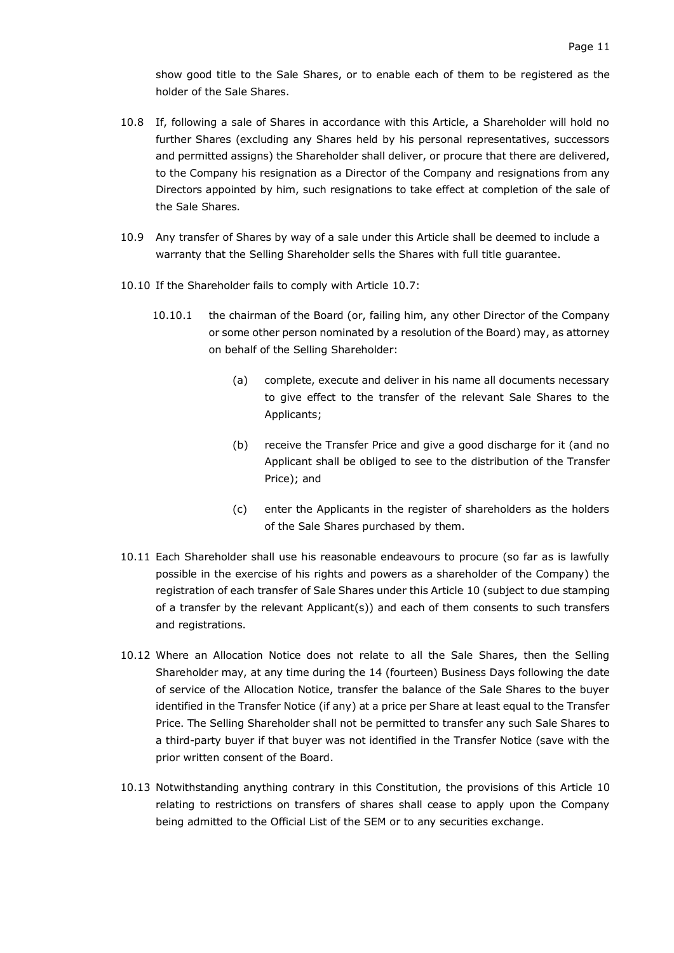show good title to the Sale Shares, or to enable each of them to be registered as the holder of the Sale Shares.

- 10.8 If, following a sale of Shares in accordance with this Article, a Shareholder will hold no further Shares (excluding any Shares held by his personal representatives, successors and permitted assigns) the Shareholder shall deliver, or procure that there are delivered, to the Company his resignation as a Director of the Company and resignations from any Directors appointed by him, such resignations to take effect at completion of the sale of the Sale Shares.
- 10.9 Any transfer of Shares by way of a sale under this Article shall be deemed to include a warranty that the Selling Shareholder sells the Shares with full title guarantee.
- 10.10 If the Shareholder fails to comply with Article [10.7:](#page-11-3)
	- 10.10.1 the chairman of the Board (or, failing him, any other Director of the Company or some other person nominated by a resolution of the Board) may, as attorney on behalf of the Selling Shareholder:
		- (a) complete, execute and deliver in his name all documents necessary to give effect to the transfer of the relevant Sale Shares to the Applicants;
		- (b) receive the Transfer Price and give a good discharge for it (and no Applicant shall be obliged to see to the distribution of the Transfer Price); and
		- (c) enter the Applicants in the register of shareholders as the holders of the Sale Shares purchased by them.
- 10.11 Each Shareholder shall use his reasonable endeavours to procure (so far as is lawfully possible in the exercise of his rights and powers as a shareholder of the Company) the registration of each transfer of Sale Shares under this Article [10](#page-10-0) (subject to due stamping of a transfer by the relevant Applicant(s)) and each of them consents to such transfers and registrations.
- <span id="page-12-0"></span>10.12 Where an Allocation Notice does not relate to all the Sale Shares, then the Selling Shareholder may, at any time during the 14 (fourteen) Business Days following the date of service of the Allocation Notice, transfer the balance of the Sale Shares to the buyer identified in the Transfer Notice (if any) at a price per Share at least equal to the Transfer Price. The Selling Shareholder shall not be permitted to transfer any such Sale Shares to a third-party buyer if that buyer was not identified in the Transfer Notice (save with the prior written consent of the Board.
- 10.13 Notwithstanding anything contrary in this Constitution, the provisions of this Article 10 relating to restrictions on transfers of shares shall cease to apply upon the Company being admitted to the Official List of the SEM or to any securities exchange.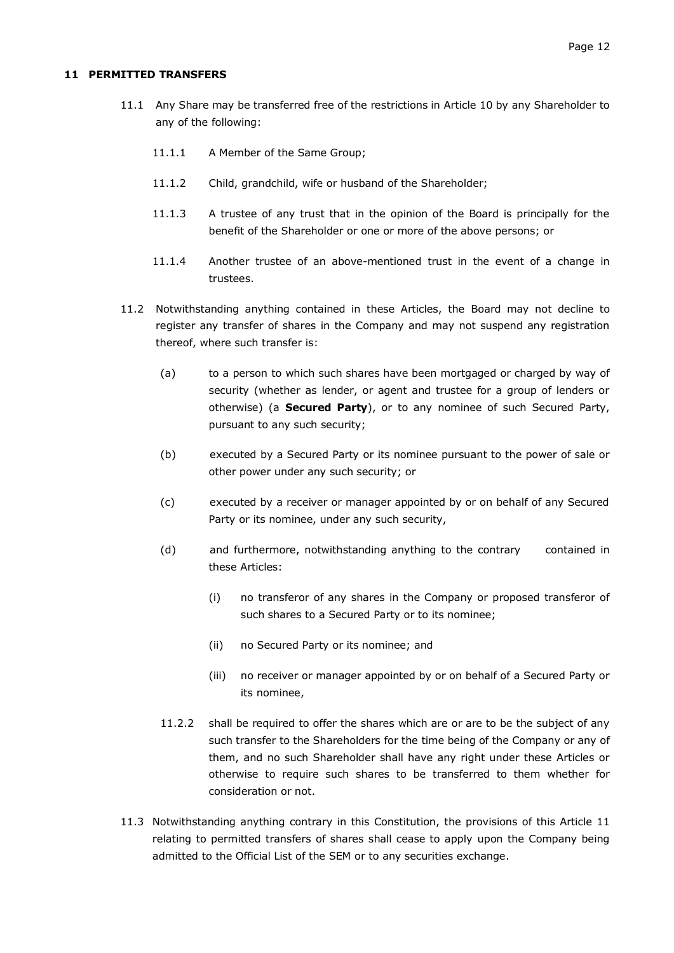#### <span id="page-13-0"></span>**11 PERMITTED TRANSFERS**

- 11.1 Any Share may be transferred free of the restrictions in Article [10](#page-10-0) by any Shareholder to any of the following:
	- 11.1.1 A Member of the Same Group;
	- 11.1.2 Child, grandchild, wife or husband of the Shareholder;
	- 11.1.3 A trustee of any trust that in the opinion of the Board is principally for the benefit of the Shareholder or one or more of the above persons; or
	- 11.1.4 Another trustee of an above-mentioned trust in the event of a change in trustees.
- 11.2 Notwithstanding anything contained in these Articles, the Board may not decline to register any transfer of shares in the Company and may not suspend any registration thereof, where such transfer is:
	- (a) to a person to which such shares have been mortgaged or charged by way of security (whether as lender, or agent and trustee for a group of lenders or otherwise) (a **Secured Party**), or to any nominee of such Secured Party, pursuant to any such security;
	- (b) executed by a Secured Party or its nominee pursuant to the power of sale or other power under any such security; or
	- (c) executed by a receiver or manager appointed by or on behalf of any Secured Party or its nominee, under any such security,
	- (d) and furthermore, notwithstanding anything to the contrary contained in these Articles:
		- (i) no transferor of any shares in the Company or proposed transferor of such shares to a Secured Party or to its nominee;
		- (ii) no Secured Party or its nominee; and
		- (iii) no receiver or manager appointed by or on behalf of a Secured Party or its nominee,
	- 11.2.2 shall be required to offer the shares which are or are to be the subject of any such transfer to the Shareholders for the time being of the Company or any of them, and no such Shareholder shall have any right under these Articles or otherwise to require such shares to be transferred to them whether for consideration or not.
- 11.3 Notwithstanding anything contrary in this Constitution, the provisions of this Article 11 relating to permitted transfers of shares shall cease to apply upon the Company being admitted to the Official List of the SEM or to any securities exchange.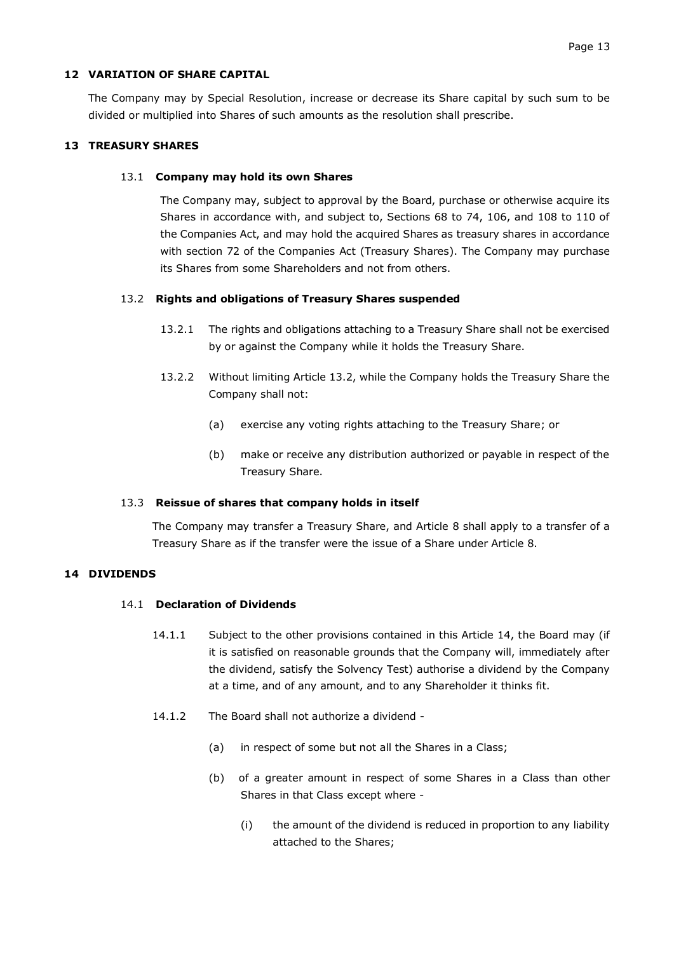### <span id="page-14-0"></span>**12 VARIATION OF SHARE CAPITAL**

The Company may by Special Resolution, increase or decrease its Share capital by such sum to be divided or multiplied into Shares of such amounts as the resolution shall prescribe.

### <span id="page-14-1"></span>**13 TREASURY SHARES**

### 13.1 **Company may hold its own Shares**

The Company may, subject to approval by the Board, purchase or otherwise acquire its Shares in accordance with, and subject to, Sections 68 to 74, 106, and 108 to 110 of the Companies Act, and may hold the acquired Shares as treasury shares in accordance with section 72 of the Companies Act (Treasury Shares). The Company may purchase its Shares from some Shareholders and not from others.

### <span id="page-14-3"></span>13.2 **Rights and obligations of Treasury Shares suspended**

- 13.2.1 The rights and obligations attaching to a Treasury Share shall not be exercised by or against the Company while it holds the Treasury Share.
- 13.2.2 Without limiting Article [13.2,](#page-14-3) while the Company holds the Treasury Share the Company shall not:
	- (a) exercise any voting rights attaching to the Treasury Share; or
	- (b) make or receive any distribution authorized or payable in respect of the Treasury Share.

#### 13.3 **Reissue of shares that company holds in itself**

The Company may transfer a Treasury Share, and Article [8](#page-7-0) shall apply to a transfer of a Treasury Share as if the transfer were the issue of a Share under Article [8.](#page-7-0)

### <span id="page-14-2"></span>**14 DIVIDENDS**

### 14.1 **Declaration of Dividends**

- 14.1.1 Subject to the other provisions contained in this Article 14, the Board may (if it is satisfied on reasonable grounds that the Company will, immediately after the dividend, satisfy the Solvency Test) authorise a dividend by the Company at a time, and of any amount, and to any Shareholder it thinks fit.
- 14.1.2 The Board shall not authorize a dividend
	- (a) in respect of some but not all the Shares in a Class;
	- (b) of a greater amount in respect of some Shares in a Class than other Shares in that Class except where -
		- (i) the amount of the dividend is reduced in proportion to any liability attached to the Shares;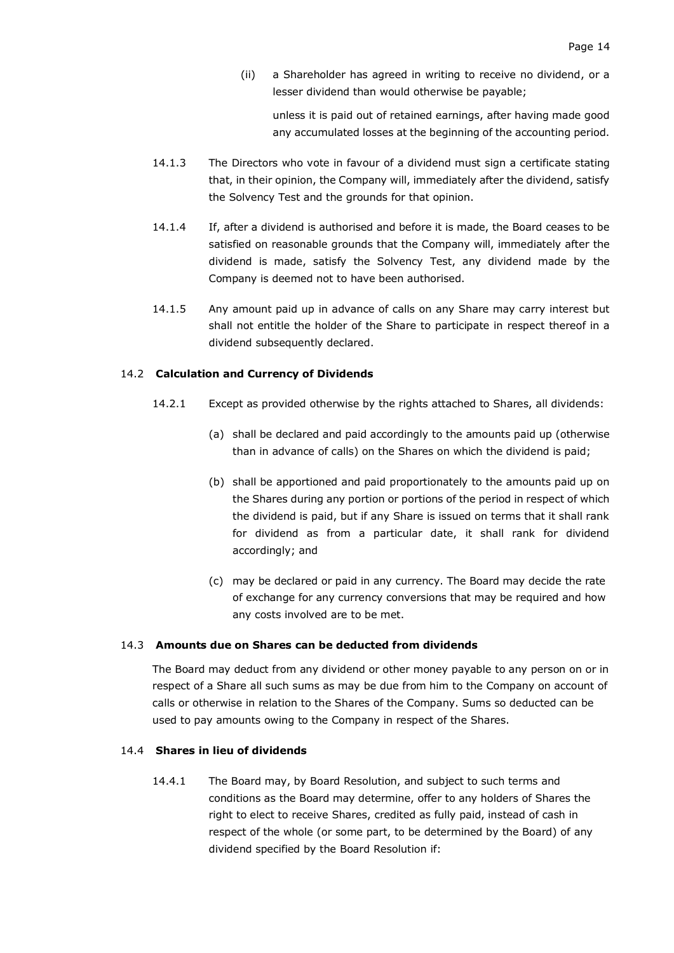(ii) a Shareholder has agreed in writing to receive no dividend, or a lesser dividend than would otherwise be payable;

unless it is paid out of retained earnings, after having made good any accumulated losses at the beginning of the accounting period.

- 14.1.3 The Directors who vote in favour of a dividend must sign a certificate stating that, in their opinion, the Company will, immediately after the dividend, satisfy the Solvency Test and the grounds for that opinion.
- 14.1.4 If, after a dividend is authorised and before it is made, the Board ceases to be satisfied on reasonable grounds that the Company will, immediately after the dividend is made, satisfy the Solvency Test, any dividend made by the Company is deemed not to have been authorised.
- 14.1.5 Any amount paid up in advance of calls on any Share may carry interest but shall not entitle the holder of the Share to participate in respect thereof in a dividend subsequently declared.

#### 14.2 **Calculation and Currency of Dividends**

- 14.2.1 Except as provided otherwise by the rights attached to Shares, all dividends:
	- (a) shall be declared and paid accordingly to the amounts paid up (otherwise than in advance of calls) on the Shares on which the dividend is paid;
	- (b) shall be apportioned and paid proportionately to the amounts paid up on the Shares during any portion or portions of the period in respect of which the dividend is paid, but if any Share is issued on terms that it shall rank for dividend as from a particular date, it shall rank for dividend accordingly; and
	- (c) may be declared or paid in any currency. The Board may decide the rate of exchange for any currency conversions that may be required and how any costs involved are to be met.

#### 14.3 **Amounts due on Shares can be deducted from dividends**

The Board may deduct from any dividend or other money payable to any person on or in respect of a Share all such sums as may be due from him to the Company on account of calls or otherwise in relation to the Shares of the Company. Sums so deducted can be used to pay amounts owing to the Company in respect of the Shares.

### 14.4 **Shares in lieu of dividends**

14.4.1 The Board may, by Board Resolution, and subject to such terms and conditions as the Board may determine, offer to any holders of Shares the right to elect to receive Shares, credited as fully paid, instead of cash in respect of the whole (or some part, to be determined by the Board) of any dividend specified by the Board Resolution if: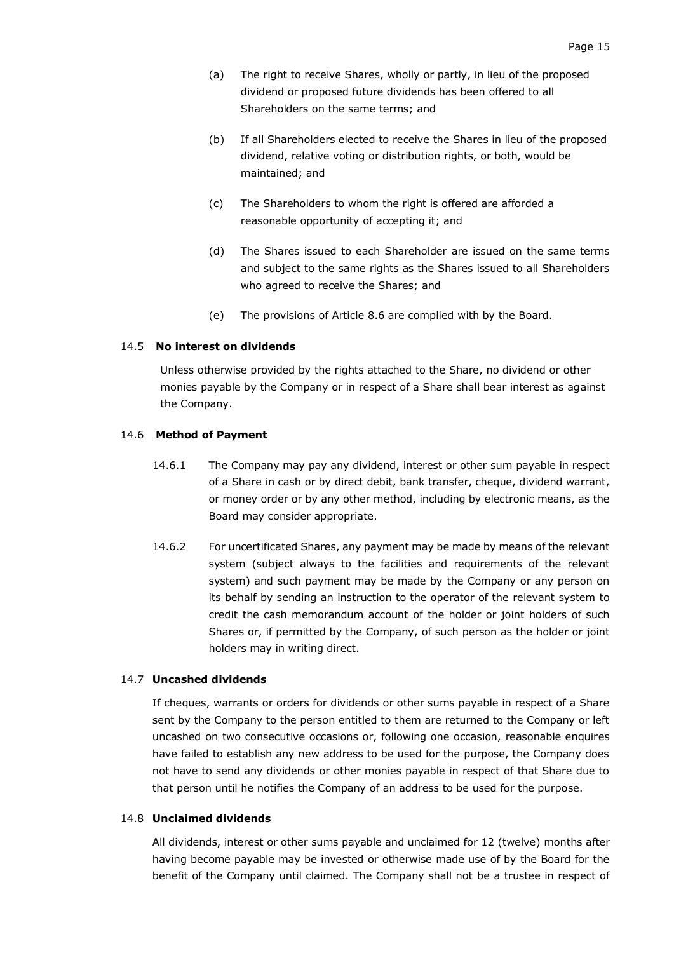- (a) The right to receive Shares, wholly or partly, in lieu of the proposed dividend or proposed future dividends has been offered to all Shareholders on the same terms; and
- (b) If all Shareholders elected to receive the Shares in lieu of the proposed dividend, relative voting or distribution rights, or both, would be maintained; and
- (c) The Shareholders to whom the right is offered are afforded a reasonable opportunity of accepting it; and
- (d) The Shares issued to each Shareholder are issued on the same terms and subject to the same rights as the Shares issued to all Shareholders who agreed to receive the Shares; and
- (e) The provisions of Article [8.6](#page-8-1) are complied with by the Board.

#### 14.5 **No interest on dividends**

Unless otherwise provided by the rights attached to the Share, no dividend or other monies payable by the Company or in respect of a Share shall bear interest as against the Company.

#### 14.6 **Method of Payment**

- 14.6.1 The Company may pay any dividend, interest or other sum payable in respect of a Share in cash or by direct debit, bank transfer, cheque, dividend warrant, or money order or by any other method, including by electronic means, as the Board may consider appropriate.
- 14.6.2 For uncertificated Shares, any payment may be made by means of the relevant system (subject always to the facilities and requirements of the relevant system) and such payment may be made by the Company or any person on its behalf by sending an instruction to the operator of the relevant system to credit the cash memorandum account of the holder or joint holders of such Shares or, if permitted by the Company, of such person as the holder or joint holders may in writing direct.

#### 14.7 **Uncashed dividends**

If cheques, warrants or orders for dividends or other sums payable in respect of a Share sent by the Company to the person entitled to them are returned to the Company or left uncashed on two consecutive occasions or, following one occasion, reasonable enquires have failed to establish any new address to be used for the purpose, the Company does not have to send any dividends or other monies payable in respect of that Share due to that person until he notifies the Company of an address to be used for the purpose.

### 14.8 **Unclaimed dividends**

All dividends, interest or other sums payable and unclaimed for 12 (twelve) months after having become payable may be invested or otherwise made use of by the Board for the benefit of the Company until claimed. The Company shall not be a trustee in respect of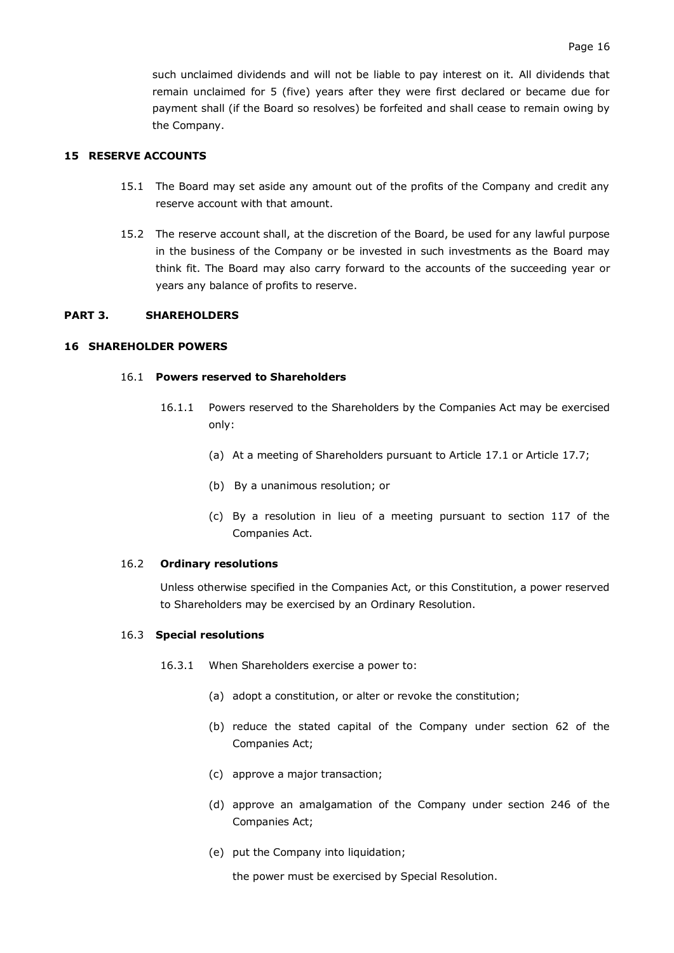such unclaimed dividends and will not be liable to pay interest on it. All dividends that remain unclaimed for 5 (five) years after they were first declared or became due for payment shall (if the Board so resolves) be forfeited and shall cease to remain owing by the Company.

### <span id="page-17-0"></span>**15 RESERVE ACCOUNTS**

- 15.1 The Board may set aside any amount out of the profits of the Company and credit any reserve account with that amount.
- 15.2 The reserve account shall, at the discretion of the Board, be used for any lawful purpose in the business of the Company or be invested in such investments as the Board may think fit. The Board may also carry forward to the accounts of the succeeding year or years any balance of profits to reserve.

### <span id="page-17-1"></span>**PART 3. SHAREHOLDERS**

#### <span id="page-17-2"></span>**16 SHAREHOLDER POWERS**

#### 16.1 **Powers reserved to Shareholders**

- 16.1.1 Powers reserved to the Shareholders by the Companies Act may be exercised only:
	- (a) At a meeting of Shareholders pursuant to Article [17.1](#page-18-1) or Article [17.7;](#page-18-2)
	- (b) By a unanimous resolution; or
	- (c) By a resolution in lieu of a meeting pursuant to section 117 of the Companies Act.

#### 16.2 **Ordinary resolutions**

Unless otherwise specified in the Companies Act, or this Constitution, a power reserved to Shareholders may be exercised by an Ordinary Resolution.

#### <span id="page-17-3"></span>16.3 **Special resolutions**

- <span id="page-17-4"></span>16.3.1 When Shareholders exercise a power to:
	- (a) adopt a constitution, or alter or revoke the constitution;
	- (b) reduce the stated capital of the Company under section 62 of the Companies Act;
	- (c) approve a major transaction;
	- (d) approve an amalgamation of the Company under section 246 of the Companies Act;
	- (e) put the Company into liquidation;

<span id="page-17-5"></span>the power must be exercised by Special Resolution.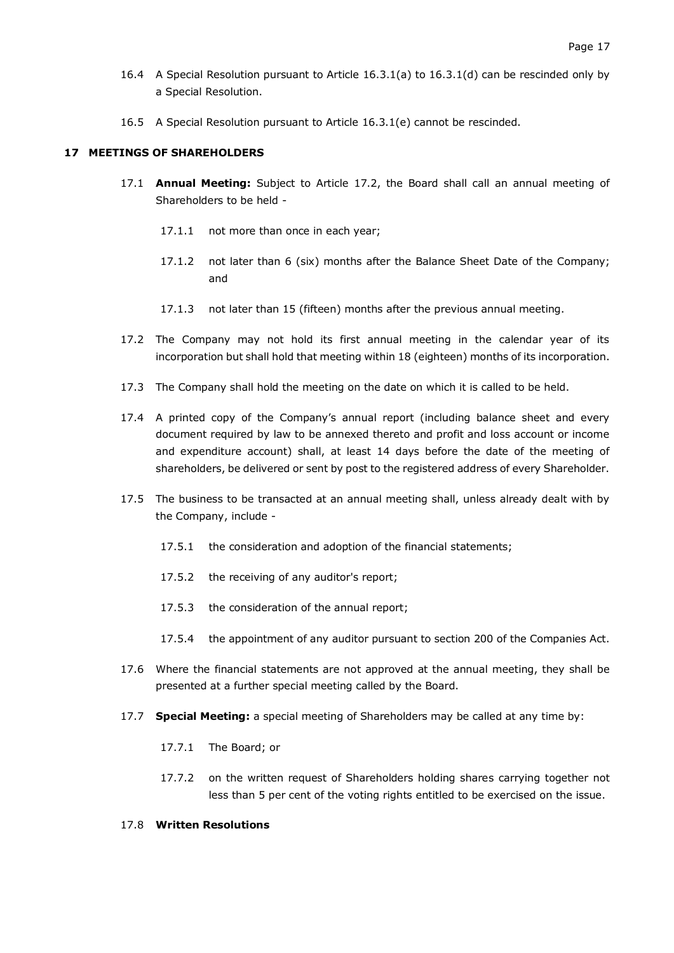- 16.4 A Special Resolution pursuant to Article [16.3.1\(a\)](#page-17-3) to [16.3.1\(d\)](#page-17-4) can be rescinded only by a Special Resolution.
- 16.5 A Special Resolution pursuant to Article [16.3.1\(e\)](#page-17-5) cannot be rescinded.

### <span id="page-18-1"></span><span id="page-18-0"></span>**17 MEETINGS OF SHAREHOLDERS**

- 17.1 **Annual Meeting:** Subject to Article [17.2,](#page-18-3) the Board shall call an annual meeting of Shareholders to be held -
	- 17.1.1 not more than once in each year;
	- 17.1.2 not later than 6 (six) months after the Balance Sheet Date of the Company; and
	- 17.1.3 not later than 15 (fifteen) months after the previous annual meeting.
- <span id="page-18-3"></span>17.2 The Company may not hold its first annual meeting in the calendar year of its incorporation but shall hold that meeting within 18 (eighteen) months of its incorporation.
- 17.3 The Company shall hold the meeting on the date on which it is called to be held.
- 17.4 A printed copy of the Company's annual report (including balance sheet and every document required by law to be annexed thereto and profit and loss account or income and expenditure account) shall, at least 14 days before the date of the meeting of shareholders, be delivered or sent by post to the registered address of every Shareholder.
- 17.5 The business to be transacted at an annual meeting shall, unless already dealt with by the Company, include -
	- 17.5.1 the consideration and adoption of the financial statements;
	- 17.5.2 the receiving of any auditor's report;
	- 17.5.3 the consideration of the annual report;
	- 17.5.4 the appointment of any auditor pursuant to section 200 of the Companies Act.
- 17.6 Where the financial statements are not approved at the annual meeting, they shall be presented at a further special meeting called by the Board.
- <span id="page-18-2"></span>17.7 **Special Meeting:** a special meeting of Shareholders may be called at any time by:
	- 17.7.1 The Board; or
	- 17.7.2 on the written request of Shareholders holding shares carrying together not less than 5 per cent of the voting rights entitled to be exercised on the issue.

#### 17.8 **Written Resolutions**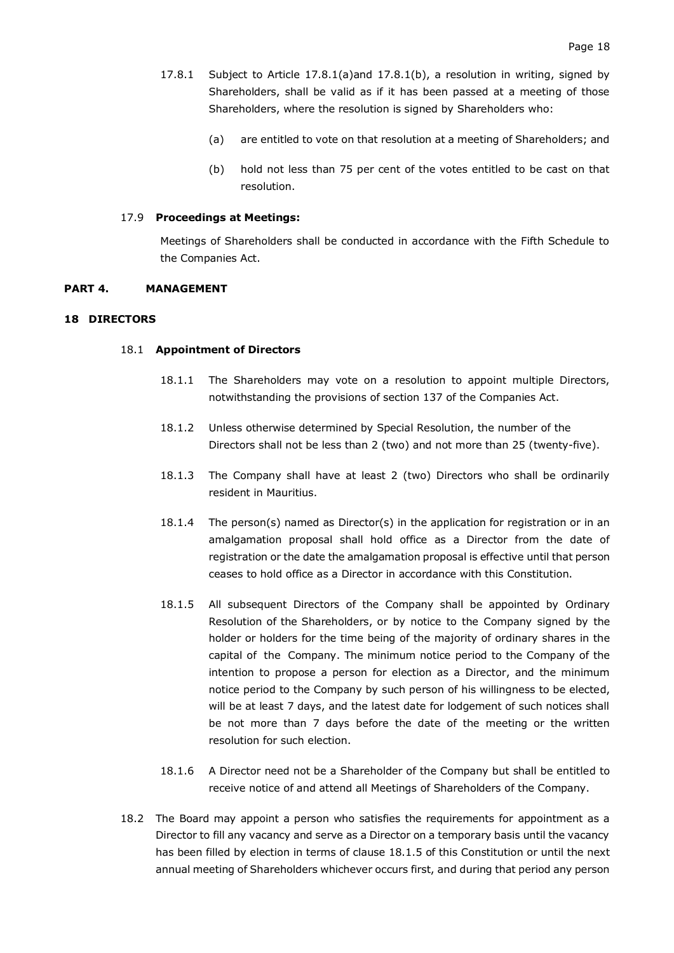- 17.8.1 Subject to Article [17.8.1\(a\)a](#page-19-2)nd [17.8.1\(b\),](#page-19-3) a resolution in writing, signed by Shareholders, shall be valid as if it has been passed at a meeting of those Shareholders, where the resolution is signed by Shareholders who:
	- (a) are entitled to vote on that resolution at a meeting of Shareholders; and
	- (b) hold not less than 75 per cent of the votes entitled to be cast on that resolution.

#### <span id="page-19-3"></span><span id="page-19-2"></span>17.9 **Proceedings at Meetings:**

Meetings of Shareholders shall be conducted in accordance with the Fifth Schedule to the Companies Act.

#### <span id="page-19-0"></span>**PART 4. MANAGEMENT**

#### <span id="page-19-1"></span>**18 DIRECTORS**

#### 18.1 **Appointment of Directors**

- 18.1.1 The Shareholders may vote on a resolution to appoint multiple Directors, notwithstanding the provisions of section 137 of the Companies Act.
- 18.1.2 Unless otherwise determined by Special Resolution, the number of the Directors shall not be less than 2 (two) and not more than 25 (twenty-five).
- 18.1.3 The Company shall have at least 2 (two) Directors who shall be ordinarily resident in Mauritius.
- 18.1.4 The person(s) named as Director(s) in the application for registration or in an amalgamation proposal shall hold office as a Director from the date of registration or the date the amalgamation proposal is effective until that person ceases to hold office as a Director in accordance with this Constitution.
- <span id="page-19-4"></span>18.1.5 All subsequent Directors of the Company shall be appointed by Ordinary Resolution of the Shareholders, or by notice to the Company signed by the holder or holders for the time being of the majority of ordinary shares in the capital of the Company. The minimum notice period to the Company of the intention to propose a person for election as a Director, and the minimum notice period to the Company by such person of his willingness to be elected, will be at least 7 days, and the latest date for lodgement of such notices shall be not more than 7 days before the date of the meeting or the written resolution for such election.
- 18.1.6 A Director need not be a Shareholder of the Company but shall be entitled to receive notice of and attend all Meetings of Shareholders of the Company.
- 18.2 The Board may appoint a person who satisfies the requirements for appointment as a Director to fill any vacancy and serve as a Director on a temporary basis until the vacancy has been filled by election in terms of clause [18.1.5](#page-19-4) of this Constitution or until the next annual meeting of Shareholders whichever occurs first, and during that period any person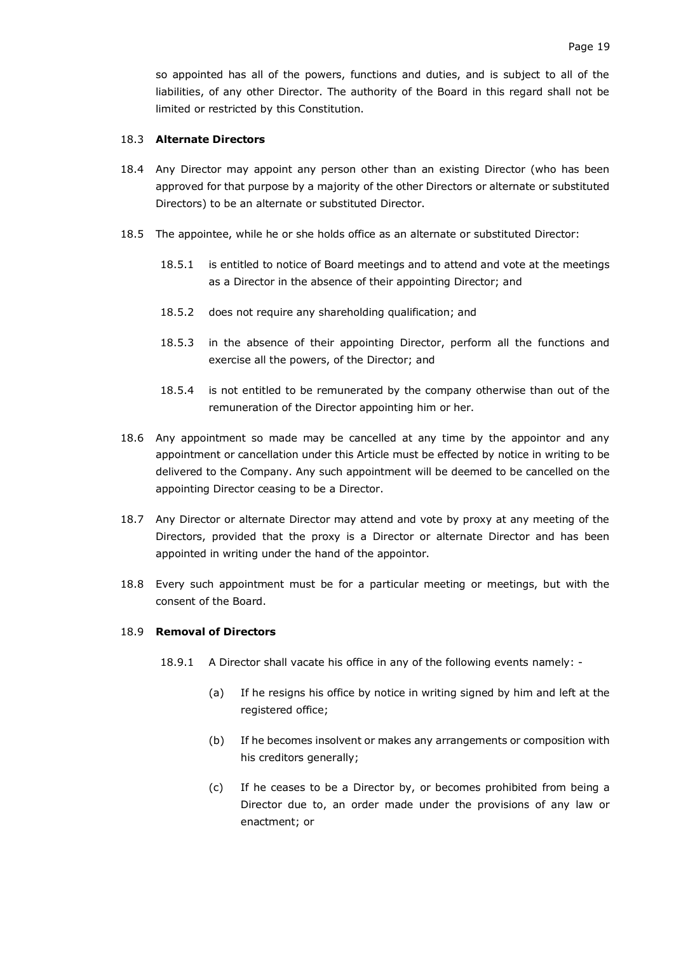### 18.3 **Alternate Directors**

- 18.4 Any Director may appoint any person other than an existing Director (who has been approved for that purpose by a majority of the other Directors or alternate or substituted Directors) to be an alternate or substituted Director.
- 18.5 The appointee, while he or she holds office as an alternate or substituted Director:
	- 18.5.1 is entitled to notice of Board meetings and to attend and vote at the meetings as a Director in the absence of their appointing Director; and
	- 18.5.2 does not require any shareholding qualification; and
	- 18.5.3 in the absence of their appointing Director, perform all the functions and exercise all the powers, of the Director; and
	- 18.5.4 is not entitled to be remunerated by the company otherwise than out of the remuneration of the Director appointing him or her.
- 18.6 Any appointment so made may be cancelled at any time by the appointor and any appointment or cancellation under this Article must be effected by notice in writing to be delivered to the Company. Any such appointment will be deemed to be cancelled on the appointing Director ceasing to be a Director.
- 18.7 Any Director or alternate Director may attend and vote by proxy at any meeting of the Directors, provided that the proxy is a Director or alternate Director and has been appointed in writing under the hand of the appointor.
- 18.8 Every such appointment must be for a particular meeting or meetings, but with the consent of the Board.

### 18.9 **Removal of Directors**

- 18.9.1 A Director shall vacate his office in any of the following events namely:
	- (a) If he resigns his office by notice in writing signed by him and left at the registered office;
	- (b) If he becomes insolvent or makes any arrangements or composition with his creditors generally;
	- (c) If he ceases to be a Director by, or becomes prohibited from being a Director due to, an order made under the provisions of any law or enactment; or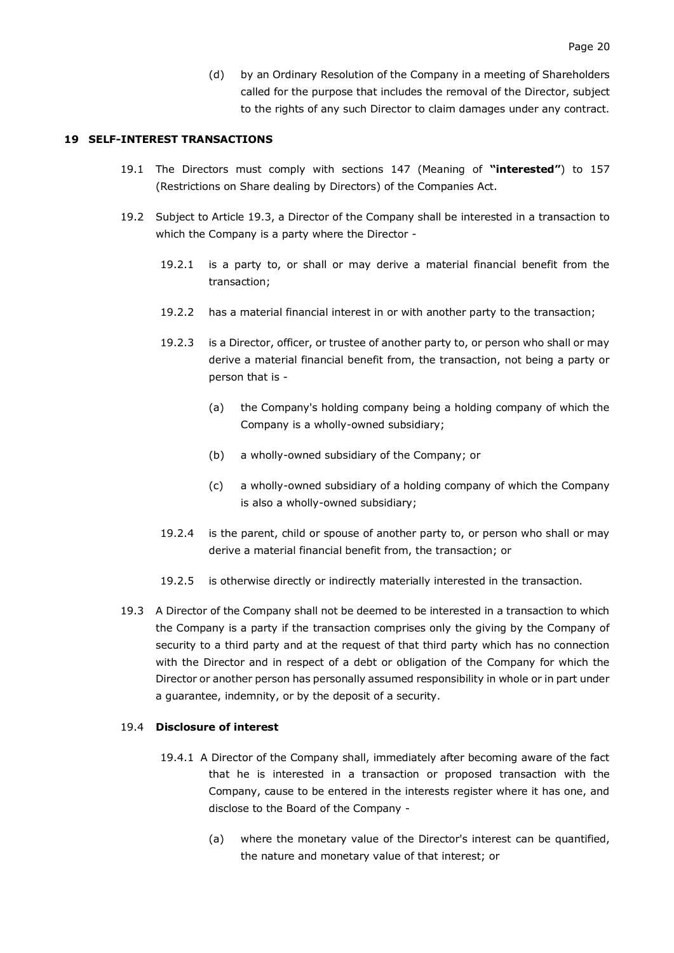(d) by an Ordinary Resolution of the Company in a meeting of Shareholders called for the purpose that includes the removal of the Director, subject to the rights of any such Director to claim damages under any contract.

#### <span id="page-21-0"></span>**19 SELF-INTEREST TRANSACTIONS**

- 19.1 The Directors must comply with sections 147 (Meaning of **"interested"**) to 157 (Restrictions on Share dealing by Directors) of the Companies Act.
- 19.2 Subject to Article [19.3,](#page-21-1) a Director of the Company shall be interested in a transaction to which the Company is a party where the Director -
	- 19.2.1 is a party to, or shall or may derive a material financial benefit from the transaction;
	- 19.2.2 has a material financial interest in or with another party to the transaction;
	- 19.2.3 is a Director, officer, or trustee of another party to, or person who shall or may derive a material financial benefit from, the transaction, not being a party or person that is -
		- (a) the Company's holding company being a holding company of which the Company is a wholly-owned subsidiary;
		- (b) a wholly-owned subsidiary of the Company; or
		- (c) a wholly-owned subsidiary of a holding company of which the Company is also a wholly-owned subsidiary;
	- 19.2.4 is the parent, child or spouse of another party to, or person who shall or may derive a material financial benefit from, the transaction; or
	- 19.2.5 is otherwise directly or indirectly materially interested in the transaction.
- <span id="page-21-1"></span>19.3 A Director of the Company shall not be deemed to be interested in a transaction to which the Company is a party if the transaction comprises only the giving by the Company of security to a third party and at the request of that third party which has no connection with the Director and in respect of a debt or obligation of the Company for which the Director or another person has personally assumed responsibility in whole or in part under a guarantee, indemnity, or by the deposit of a security.

### <span id="page-21-2"></span>19.4 **Disclosure of interest**

- 19.4.1 A Director of the Company shall, immediately after becoming aware of the fact that he is interested in a transaction or proposed transaction with the Company, cause to be entered in the interests register where it has one, and disclose to the Board of the Company -
	- (a) where the monetary value of the Director's interest can be quantified, the nature and monetary value of that interest; or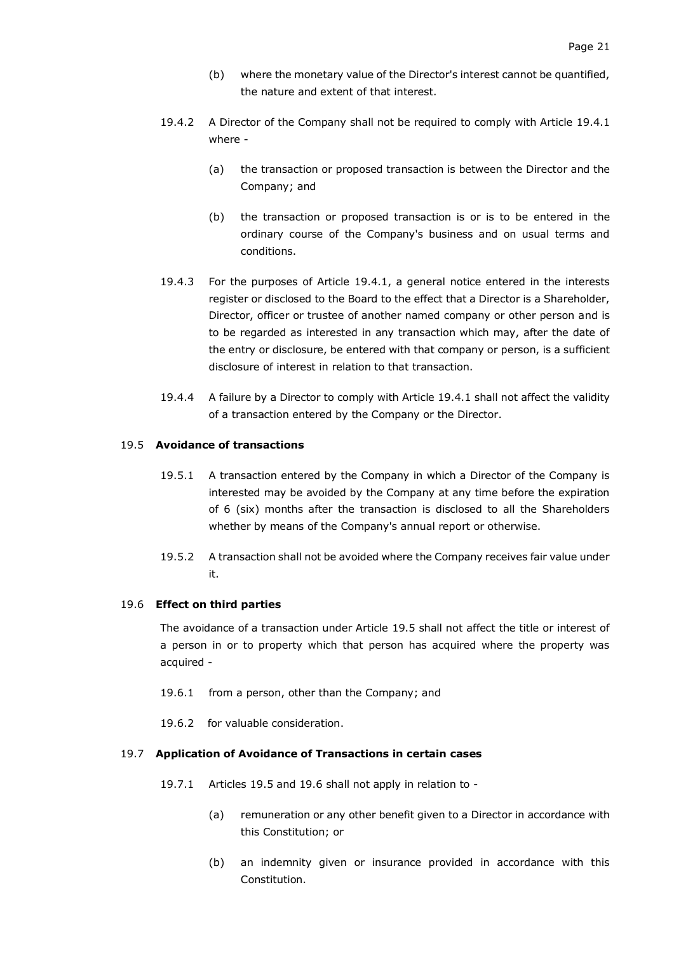- (b) where the monetary value of the Director's interest cannot be quantified, the nature and extent of that interest.
- 19.4.2 A Director of the Company shall not be required to comply with Article [19.4.1](#page-21-2) where -
	- (a) the transaction or proposed transaction is between the Director and the Company; and
	- (b) the transaction or proposed transaction is or is to be entered in the ordinary course of the Company's business and on usual terms and conditions.
- 19.4.3 For the purposes of Article [19.4.1,](#page-21-2) a general notice entered in the interests register or disclosed to the Board to the effect that a Director is a Shareholder, Director, officer or trustee of another named company or other person and is to be regarded as interested in any transaction which may, after the date of the entry or disclosure, be entered with that company or person, is a sufficient disclosure of interest in relation to that transaction.
- 19.4.4 A failure by a Director to comply with Article [19.4.1](#page-21-2) shall not affect the validity of a transaction entered by the Company or the Director.

#### <span id="page-22-0"></span>19.5 **Avoidance of transactions**

- 19.5.1 A transaction entered by the Company in which a Director of the Company is interested may be avoided by the Company at any time before the expiration of 6 (six) months after the transaction is disclosed to all the Shareholders whether by means of the Company's annual report or otherwise.
- 19.5.2 A transaction shall not be avoided where the Company receives fair value under it.

#### <span id="page-22-1"></span>19.6 **Effect on third parties**

The avoidance of a transaction under Article [19.5](#page-22-0) shall not affect the title or interest of a person in or to property which that person has acquired where the property was acquired -

- 19.6.1 from a person, other than the Company; and
- 19.6.2 for valuable consideration.

### 19.7 **Application of Avoidance of Transactions in certain cases**

- 19.7.1 Articles [19.5](#page-22-0) and [19.6](#page-22-1) shall not apply in relation to
	- (a) remuneration or any other benefit given to a Director in accordance with this Constitution; or
	- (b) an indemnity given or insurance provided in accordance with this Constitution.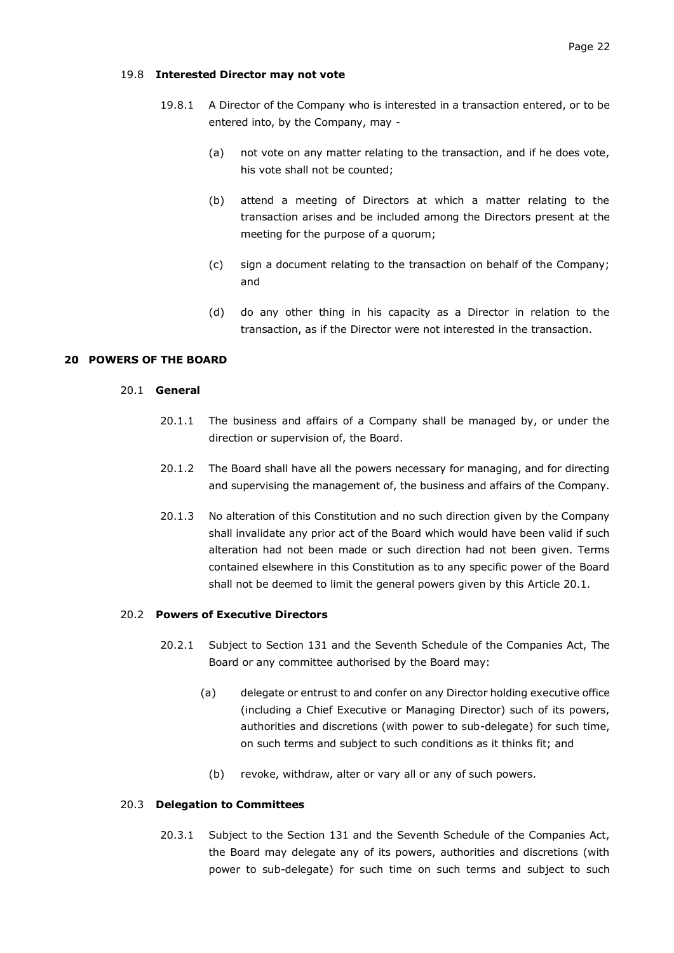- 19.8.1 A Director of the Company who is interested in a transaction entered, or to be entered into, by the Company, may -
	- (a) not vote on any matter relating to the transaction, and if he does vote, his vote shall not be counted;
	- (b) attend a meeting of Directors at which a matter relating to the transaction arises and be included among the Directors present at the meeting for the purpose of a quorum;
	- (c) sign a document relating to the transaction on behalf of the Company; and
	- (d) do any other thing in his capacity as a Director in relation to the transaction, as if the Director were not interested in the transaction.

#### <span id="page-23-1"></span><span id="page-23-0"></span>**20 POWERS OF THE BOARD**

#### 20.1 **General**

- 20.1.1 The business and affairs of a Company shall be managed by, or under the direction or supervision of, the Board.
- 20.1.2 The Board shall have all the powers necessary for managing, and for directing and supervising the management of, the business and affairs of the Company.
- 20.1.3 No alteration of this Constitution and no such direction given by the Company shall invalidate any prior act of the Board which would have been valid if such alteration had not been made or such direction had not been given. Terms contained elsewhere in this Constitution as to any specific power of the Board shall not be deemed to limit the general powers given by this Article [20.1.](#page-23-1)

# 20.2 **Powers of Executive Directors**

- 20.2.1 Subject to Section 131 and the Seventh Schedule of the Companies Act, The Board or any committee authorised by the Board may:
	- (a) delegate or entrust to and confer on any Director holding executive office (including a Chief Executive or Managing Director) such of its powers, authorities and discretions (with power to sub-delegate) for such time, on such terms and subject to such conditions as it thinks fit; and
		- (b) revoke, withdraw, alter or vary all or any of such powers.

### 20.3 **Delegation to Committees**

20.3.1 Subject to the Section 131 and the Seventh Schedule of the Companies Act, the Board may delegate any of its powers, authorities and discretions (with power to sub-delegate) for such time on such terms and subject to such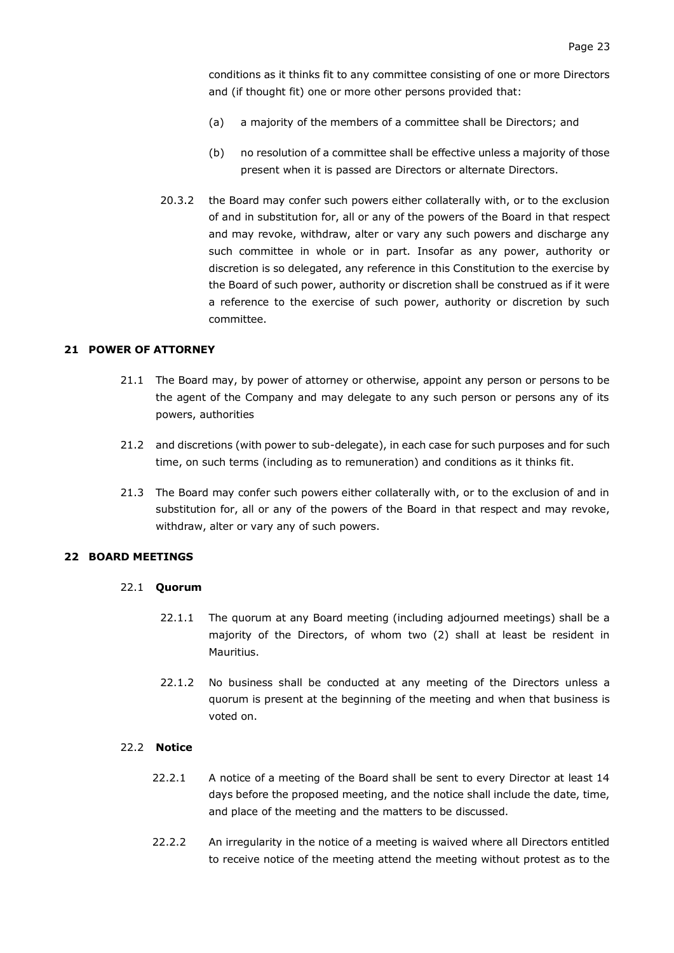conditions as it thinks fit to any committee consisting of one or more Directors and (if thought fit) one or more other persons provided that:

- (a) a majority of the members of a committee shall be Directors; and
- (b) no resolution of a committee shall be effective unless a majority of those present when it is passed are Directors or alternate Directors.
- 20.3.2 the Board may confer such powers either collaterally with, or to the exclusion of and in substitution for, all or any of the powers of the Board in that respect and may revoke, withdraw, alter or vary any such powers and discharge any such committee in whole or in part. Insofar as any power, authority or discretion is so delegated, any reference in this Constitution to the exercise by the Board of such power, authority or discretion shall be construed as if it were a reference to the exercise of such power, authority or discretion by such committee.

#### <span id="page-24-0"></span>**21 POWER OF ATTORNEY**

- 21.1 The Board may, by power of attorney or otherwise, appoint any person or persons to be the agent of the Company and may delegate to any such person or persons any of its powers, authorities
- 21.2 and discretions (with power to sub-delegate), in each case for such purposes and for such time, on such terms (including as to remuneration) and conditions as it thinks fit.
- 21.3 The Board may confer such powers either collaterally with, or to the exclusion of and in substitution for, all or any of the powers of the Board in that respect and may revoke, withdraw, alter or vary any of such powers.

#### <span id="page-24-2"></span><span id="page-24-1"></span>**22 BOARD MEETINGS**

#### 22.1 **Quorum**

- 22.1.1 The quorum at any Board meeting (including adjourned meetings) shall be a majority of the Directors, of whom two (2) shall at least be resident in Mauritius.
- 22.1.2 No business shall be conducted at any meeting of the Directors unless a quorum is present at the beginning of the meeting and when that business is voted on.

#### <span id="page-24-3"></span>22.2 **Notice**

- 22.2.1 A notice of a meeting of the Board shall be sent to every Director at least 14 days before the proposed meeting, and the notice shall include the date, time, and place of the meeting and the matters to be discussed.
- 22.2.2 An irregularity in the notice of a meeting is waived where all Directors entitled to receive notice of the meeting attend the meeting without protest as to the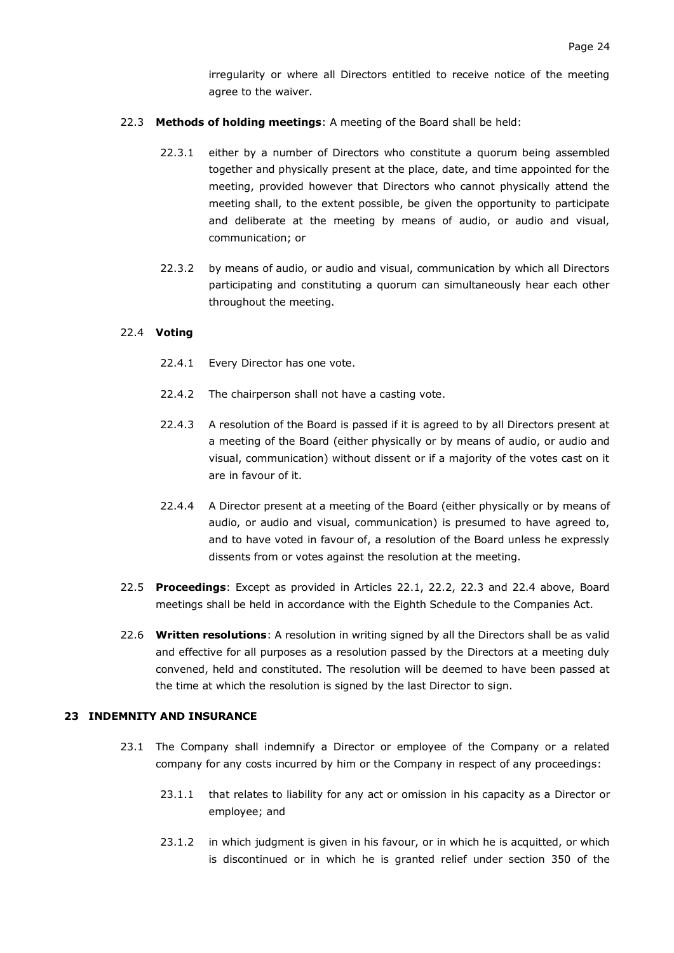irregularity or where all Directors entitled to receive notice of the meeting agree to the waiver.

- 22.3 **Methods of holding meetings**: A meeting of the Board shall be held:
	- 22.3.1 either by a number of Directors who constitute a quorum being assembled together and physically present at the place, date, and time appointed for the meeting, provided however that Directors who cannot physically attend the meeting shall, to the extent possible, be given the opportunity to participate and deliberate at the meeting by means of audio, or audio and visual, communication; or
	- 22.3.2 by means of audio, or audio and visual, communication by which all Directors participating and constituting a quorum can simultaneously hear each other throughout the meeting.

### 22.4 **Voting**

- 22.4.1 Every Director has one vote.
- 22.4.2 The chairperson shall not have a casting vote.
- 22.4.3 A resolution of the Board is passed if it is agreed to by all Directors present at a meeting of the Board (either physically or by means of audio, or audio and visual, communication) without dissent or if a majority of the votes cast on it are in favour of it.
- 22.4.4 A Director present at a meeting of the Board (either physically or by means of audio, or audio and visual, communication) is presumed to have agreed to, and to have voted in favour of, a resolution of the Board unless he expressly dissents from or votes against the resolution at the meeting.
- 22.5 **Proceedings**: Except as provided in Articles [22.1,](#page-24-2) [22.2,](#page-24-3) 22.3 and 22.4 above, Board meetings shall be held in accordance with the Eighth Schedule to the Companies Act.
- 22.6 **Written resolutions**: A resolution in writing signed by all the Directors shall be as valid and effective for all purposes as a resolution passed by the Directors at a meeting duly convened, held and constituted. The resolution will be deemed to have been passed at the time at which the resolution is signed by the last Director to sign.

### <span id="page-25-0"></span>**23 INDEMNITY AND INSURANCE**

- 23.1 The Company shall indemnify a Director or employee of the Company or a related company for any costs incurred by him or the Company in respect of any proceedings:
	- 23.1.1 that relates to liability for any act or omission in his capacity as a Director or employee; and
	- 23.1.2 in which judgment is given in his favour, or in which he is acquitted, or which is discontinued or in which he is granted relief under section 350 of the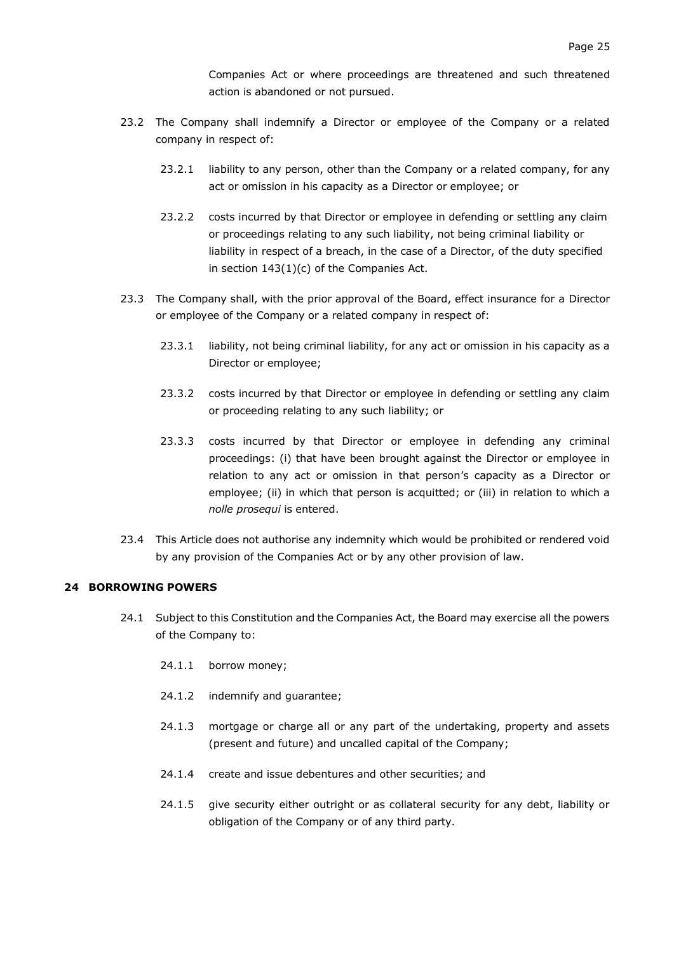Companies Act or where proceedings are threatened and such threatened action is abandoned or not pursued.

- 23.2 The Company shall indemnify a Director or employee of the Company or a related company in respect of:
	- 23.2.1 liability to any person, other than the Company or a related company, for any act or omission in his capacity as a Director or employee; or
	- 23.2.2 costs incurred by that Director or employee in defending or settling any claim or proceedings relating to any such liability, not being criminal liability or liability in respect of a breach, in the case of a Director, of the duty specified in section 143(1)(c) of the Companies Act.
- 23.3 The Company shall, with the prior approval of the Board, effect insurance for a Director or employee of the Company or a related company in respect of:
	- 23.3.1 liability, not being criminal liability, for any act or omission in his capacity as a Director or employee;
	- 23.3.2 costs incurred by that Director or employee in defending or settling any claim or proceeding relating to any such liability; or
	- 23.3.3 costs incurred by that Director or employee in defending any criminal proceedings: (i) that have been brought against the Director or employee in relation to any act or omission in that person's capacity as a Director or employee; (ii) in which that person is acquitted; or (iii) in relation to which a *nolle prosequi* is entered.
- 23.4 This Article does not authorise any indemnity which would be prohibited or rendered void by any provision of the Companies Act or by any other provision of law.

### <span id="page-26-0"></span>**24 BORROWING POWERS**

- 24.1 Subject to this Constitution and the Companies Act, the Board may exercise all the powers of the Company to:
	- 24.1.1 borrow money;
	- 24.1.2 indemnify and guarantee;
	- 24.1.3 mortgage or charge all or any part of the undertaking, property and assets (present and future) and uncalled capital of the Company;
	- 24.1.4 create and issue debentures and other securities; and
	- 24.1.5 give security either outright or as collateral security for any debt, liability or obligation of the Company or of any third party.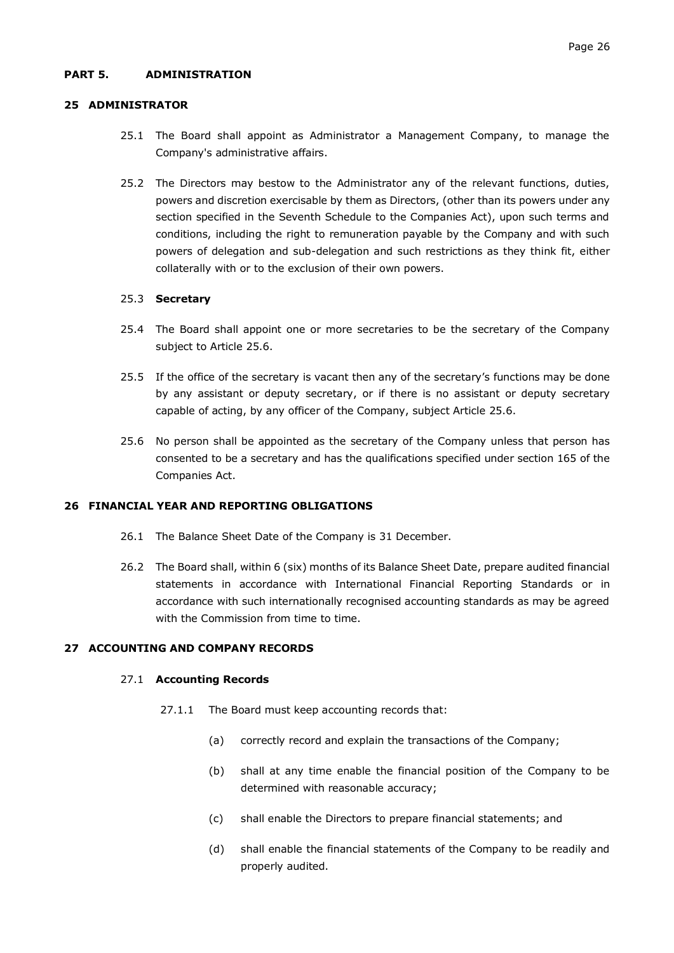### <span id="page-27-0"></span>**PART 5. ADMINISTRATION**

#### <span id="page-27-1"></span>**25 ADMINISTRATOR**

- 25.1 The Board shall appoint as Administrator a Management Company, to manage the Company's administrative affairs.
- 25.2 The Directors may bestow to the Administrator any of the relevant functions, duties, powers and discretion exercisable by them as Directors, (other than its powers under any section specified in the Seventh Schedule to the Companies Act), upon such terms and conditions, including the right to remuneration payable by the Company and with such powers of delegation and sub-delegation and such restrictions as they think fit, either collaterally with or to the exclusion of their own powers.

#### 25.3 **Secretary**

- 25.4 The Board shall appoint one or more secretaries to be the secretary of the Company subject to Article [25.6.](#page-27-4)
- 25.5 If the office of the secretary is vacant then any of the secretary's functions may be done by any assistant or deputy secretary, or if there is no assistant or deputy secretary capable of acting, by any officer of the Company, subject Article [25.6.](#page-27-4)
- <span id="page-27-4"></span>25.6 No person shall be appointed as the secretary of the Company unless that person has consented to be a secretary and has the qualifications specified under section 165 of the Companies Act.

#### <span id="page-27-2"></span>**26 FINANCIAL YEAR AND REPORTING OBLIGATIONS**

- 26.1 The Balance Sheet Date of the Company is 31 December.
- 26.2 The Board shall, within 6 (six) months of its Balance Sheet Date, prepare audited financial statements in accordance with International Financial Reporting Standards or in accordance with such internationally recognised accounting standards as may be agreed with the Commission from time to time.

### <span id="page-27-3"></span>**27 ACCOUNTING AND COMPANY RECORDS**

#### 27.1 **Accounting Records**

- 27.1.1 The Board must keep accounting records that:
	- (a) correctly record and explain the transactions of the Company;
	- (b) shall at any time enable the financial position of the Company to be determined with reasonable accuracy;
	- (c) shall enable the Directors to prepare financial statements; and
	- (d) shall enable the financial statements of the Company to be readily and properly audited.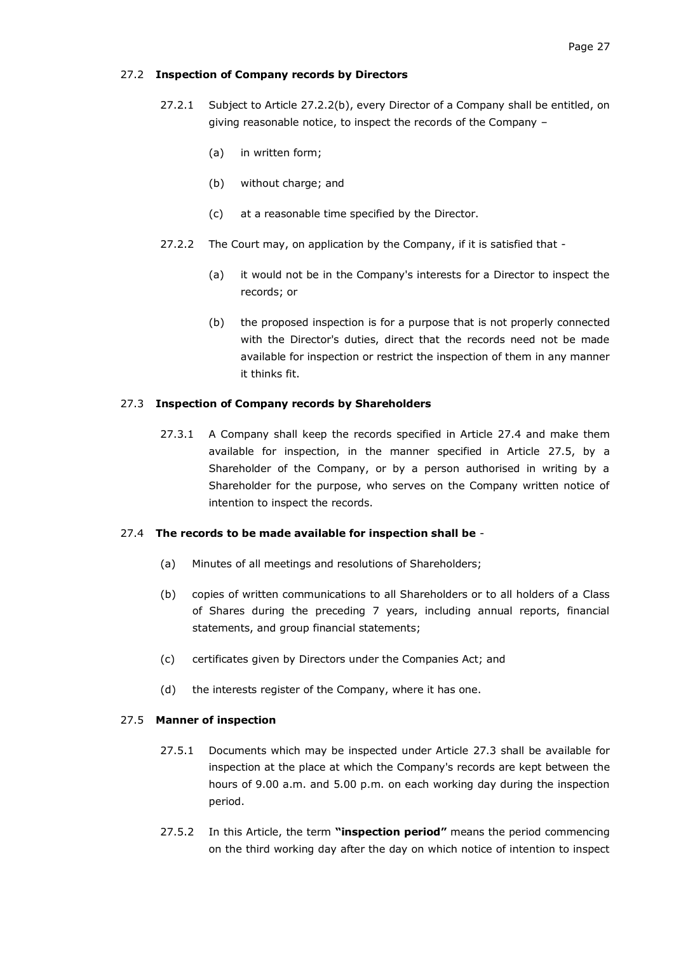### 27.2 **Inspection of Company records by Directors**

- 27.2.1 Subject to Article [27.2.2\(b\),](#page-28-0) every Director of a Company shall be entitled, on giving reasonable notice, to inspect the records of the Company –
	- (a) in written form;
	- (b) without charge; and
	- (c) at a reasonable time specified by the Director.
- 27.2.2 The Court may, on application by the Company, if it is satisfied that
	- (a) it would not be in the Company's interests for a Director to inspect the records; or
	- (b) the proposed inspection is for a purpose that is not properly connected with the Director's duties, direct that the records need not be made available for inspection or restrict the inspection of them in any manner it thinks fit.

#### <span id="page-28-3"></span><span id="page-28-0"></span>27.3 **Inspection of Company records by Shareholders**

27.3.1 A Company shall keep the records specified in Article [27.4](#page-28-1) and make them available for inspection, in the manner specified in Article [27.5,](#page-28-2) by a Shareholder of the Company, or by a person authorised in writing by a Shareholder for the purpose, who serves on the Company written notice of intention to inspect the records.

#### <span id="page-28-1"></span>27.4 **The records to be made available for inspection shall be** -

- (a) Minutes of all meetings and resolutions of Shareholders;
- (b) copies of written communications to all Shareholders or to all holders of a Class of Shares during the preceding 7 years, including annual reports, financial statements, and group financial statements;
- (c) certificates given by Directors under the Companies Act; and
- (d) the interests register of the Company, where it has one.

#### <span id="page-28-2"></span>27.5 **Manner of inspection**

- 27.5.1 Documents which may be inspected under Article [27.3](#page-28-3) shall be available for inspection at the place at which the Company's records are kept between the hours of 9.00 a.m. and 5.00 p.m. on each working day during the inspection period.
- 27.5.2 In this Article, the term **"inspection period"** means the period commencing on the third working day after the day on which notice of intention to inspect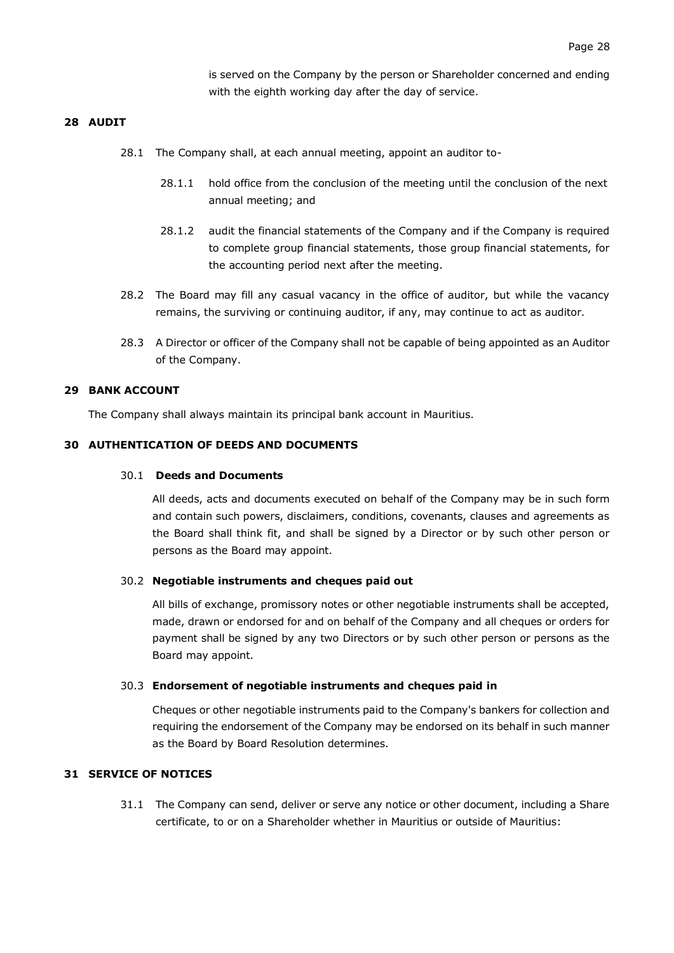is served on the Company by the person or Shareholder concerned and ending with the eighth working day after the day of service.

### <span id="page-29-0"></span>**28 AUDIT**

- 28.1 The Company shall, at each annual meeting, appoint an auditor to-
	- 28.1.1 hold office from the conclusion of the meeting until the conclusion of the next annual meeting; and
	- 28.1.2 audit the financial statements of the Company and if the Company is required to complete group financial statements, those group financial statements, for the accounting period next after the meeting.
- 28.2 The Board may fill any casual vacancy in the office of auditor, but while the vacancy remains, the surviving or continuing auditor, if any, may continue to act as auditor.
- 28.3 A Director or officer of the Company shall not be capable of being appointed as an Auditor of the Company.

#### <span id="page-29-1"></span>**29 BANK ACCOUNT**

The Company shall always maintain its principal bank account in Mauritius.

### <span id="page-29-2"></span>**30 AUTHENTICATION OF DEEDS AND DOCUMENTS**

### 30.1 **Deeds and Documents**

All deeds, acts and documents executed on behalf of the Company may be in such form and contain such powers, disclaimers, conditions, covenants, clauses and agreements as the Board shall think fit, and shall be signed by a Director or by such other person or persons as the Board may appoint.

#### 30.2 **Negotiable instruments and cheques paid out**

All bills of exchange, promissory notes or other negotiable instruments shall be accepted, made, drawn or endorsed for and on behalf of the Company and all cheques or orders for payment shall be signed by any two Directors or by such other person or persons as the Board may appoint.

#### 30.3 **Endorsement of negotiable instruments and cheques paid in**

Cheques or other negotiable instruments paid to the Company's bankers for collection and requiring the endorsement of the Company may be endorsed on its behalf in such manner as the Board by Board Resolution determines.

### <span id="page-29-3"></span>**31 SERVICE OF NOTICES**

31.1 The Company can send, deliver or serve any notice or other document, including a Share certificate, to or on a Shareholder whether in Mauritius or outside of Mauritius: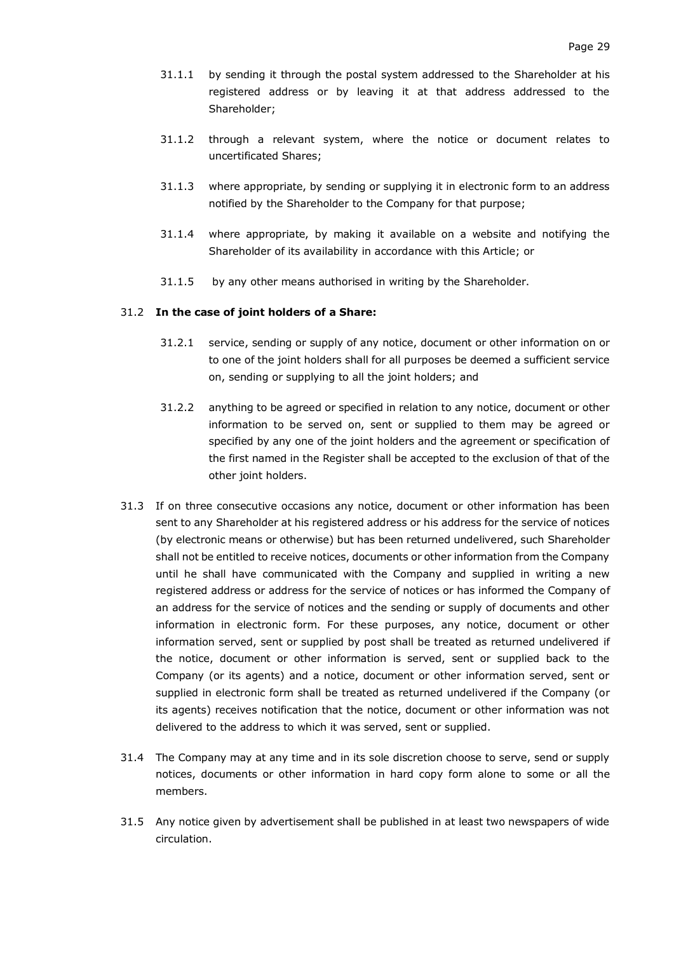- 31.1.1 by sending it through the postal system addressed to the Shareholder at his registered address or by leaving it at that address addressed to the Shareholder;
- 31.1.2 through a relevant system, where the notice or document relates to uncertificated Shares;
- 31.1.3 where appropriate, by sending or supplying it in electronic form to an address notified by the Shareholder to the Company for that purpose;
- 31.1.4 where appropriate, by making it available on a website and notifying the Shareholder of its availability in accordance with this Article; or
- 31.1.5 by any other means authorised in writing by the Shareholder.

### 31.2 **In the case of joint holders of a Share:**

- 31.2.1 service, sending or supply of any notice, document or other information on or to one of the joint holders shall for all purposes be deemed a sufficient service on, sending or supplying to all the joint holders; and
- 31.2.2 anything to be agreed or specified in relation to any notice, document or other information to be served on, sent or supplied to them may be agreed or specified by any one of the joint holders and the agreement or specification of the first named in the Register shall be accepted to the exclusion of that of the other joint holders.
- 31.3 If on three consecutive occasions any notice, document or other information has been sent to any Shareholder at his registered address or his address for the service of notices (by electronic means or otherwise) but has been returned undelivered, such Shareholder shall not be entitled to receive notices, documents or other information from the Company until he shall have communicated with the Company and supplied in writing a new registered address or address for the service of notices or has informed the Company of an address for the service of notices and the sending or supply of documents and other information in electronic form. For these purposes, any notice, document or other information served, sent or supplied by post shall be treated as returned undelivered if the notice, document or other information is served, sent or supplied back to the Company (or its agents) and a notice, document or other information served, sent or supplied in electronic form shall be treated as returned undelivered if the Company (or its agents) receives notification that the notice, document or other information was not delivered to the address to which it was served, sent or supplied.
- 31.4 The Company may at any time and in its sole discretion choose to serve, send or supply notices, documents or other information in hard copy form alone to some or all the members.
- 31.5 Any notice given by advertisement shall be published in at least two newspapers of wide circulation.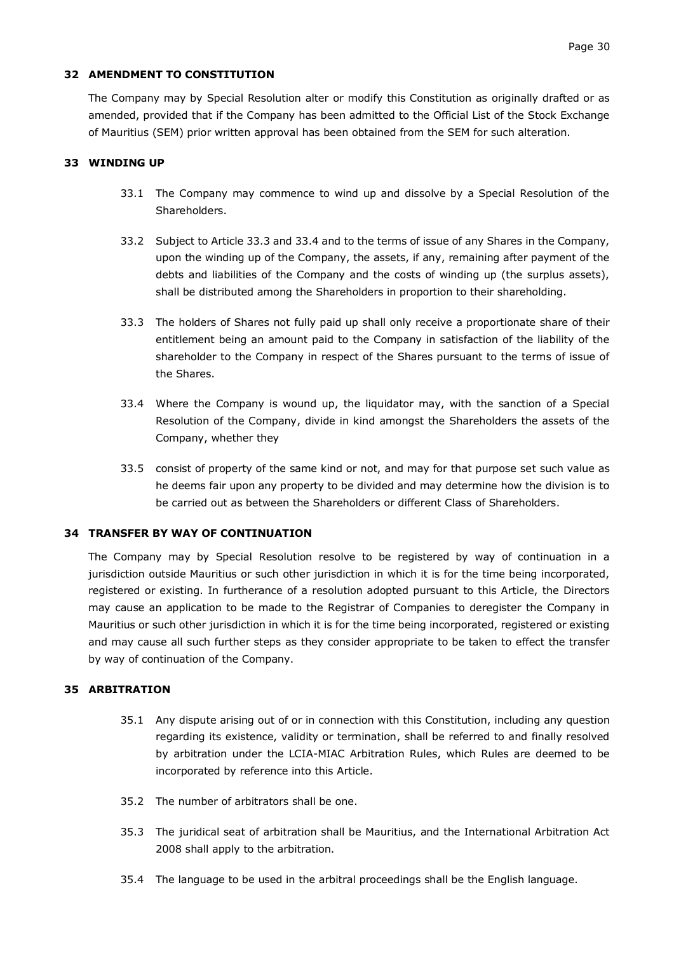# <span id="page-31-0"></span>**32 AMENDMENT TO CONSTITUTION**

The Company may by Special Resolution alter or modify this Constitution as originally drafted or as amended, provided that if the Company has been admitted to the Official List of the Stock Exchange of Mauritius (SEM) prior written approval has been obtained from the SEM for such alteration.

# <span id="page-31-1"></span>**33 WINDING UP**

- 33.1 The Company may commence to wind up and dissolve by a Special Resolution of the Shareholders.
- 33.2 Subject to Article [33.3](#page-31-4) and [33.4](#page-31-5) and to the terms of issue of any Shares in the Company, upon the winding up of the Company, the assets, if any, remaining after payment of the debts and liabilities of the Company and the costs of winding up (the surplus assets), shall be distributed among the Shareholders in proportion to their shareholding.
- <span id="page-31-4"></span>33.3 The holders of Shares not fully paid up shall only receive a proportionate share of their entitlement being an amount paid to the Company in satisfaction of the liability of the shareholder to the Company in respect of the Shares pursuant to the terms of issue of the Shares.
- <span id="page-31-5"></span>33.4 Where the Company is wound up, the liquidator may, with the sanction of a Special Resolution of the Company, divide in kind amongst the Shareholders the assets of the Company, whether they
- 33.5 consist of property of the same kind or not, and may for that purpose set such value as he deems fair upon any property to be divided and may determine how the division is to be carried out as between the Shareholders or different Class of Shareholders.

### <span id="page-31-2"></span>**34 TRANSFER BY WAY OF CONTINUATION**

The Company may by Special Resolution resolve to be registered by way of continuation in a jurisdiction outside Mauritius or such other jurisdiction in which it is for the time being incorporated, registered or existing. In furtherance of a resolution adopted pursuant to this Article, the Directors may cause an application to be made to the Registrar of Companies to deregister the Company in Mauritius or such other jurisdiction in which it is for the time being incorporated, registered or existing and may cause all such further steps as they consider appropriate to be taken to effect the transfer by way of continuation of the Company.

### <span id="page-31-3"></span>**35 ARBITRATION**

- 35.1 Any dispute arising out of or in connection with this Constitution, including any question regarding its existence, validity or termination, shall be referred to and finally resolved by arbitration under the LCIA-MIAC Arbitration Rules, which Rules are deemed to be incorporated by reference into this Article.
- 35.2 The number of arbitrators shall be one.
- 35.3 The juridical seat of arbitration shall be Mauritius, and the International Arbitration Act 2008 shall apply to the arbitration.
- 35.4 The language to be used in the arbitral proceedings shall be the English language.